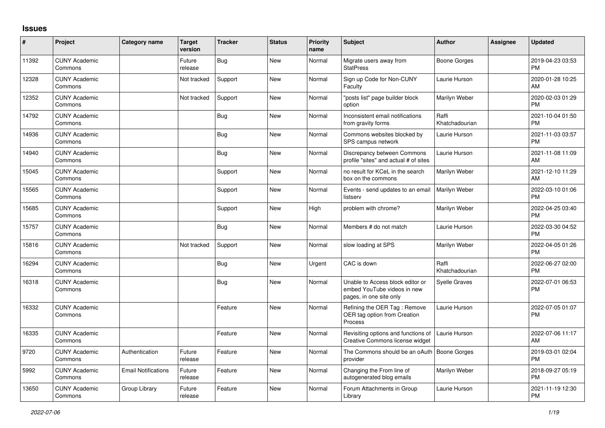## **Issues**

| #     | Project                         | Category name              | <b>Target</b><br>version | <b>Tracker</b> | <b>Status</b> | Priority<br>name | <b>Subject</b>                                                                             | <b>Author</b>           | Assignee | <b>Updated</b>                |
|-------|---------------------------------|----------------------------|--------------------------|----------------|---------------|------------------|--------------------------------------------------------------------------------------------|-------------------------|----------|-------------------------------|
| 11392 | <b>CUNY Academic</b><br>Commons |                            | Future<br>release        | <b>Bug</b>     | <b>New</b>    | Normal           | Migrate users away from<br><b>StatPress</b>                                                | <b>Boone Gorges</b>     |          | 2019-04-23 03:53<br><b>PM</b> |
| 12328 | <b>CUNY Academic</b><br>Commons |                            | Not tracked              | Support        | <b>New</b>    | Normal           | Sign up Code for Non-CUNY<br>Faculty                                                       | Laurie Hurson           |          | 2020-01-28 10:25<br>AM        |
| 12352 | <b>CUNY Academic</b><br>Commons |                            | Not tracked              | Support        | New           | Normal           | 'posts list" page builder block<br>option                                                  | Marilyn Weber           |          | 2020-02-03 01:29<br><b>PM</b> |
| 14792 | <b>CUNY Academic</b><br>Commons |                            |                          | <b>Bug</b>     | <b>New</b>    | Normal           | Inconsistent email notifications<br>from gravity forms                                     | Raffi<br>Khatchadourian |          | 2021-10-04 01:50<br><b>PM</b> |
| 14936 | <b>CUNY Academic</b><br>Commons |                            |                          | Bug            | <b>New</b>    | Normal           | Commons websites blocked by<br>SPS campus network                                          | Laurie Hurson           |          | 2021-11-03 03:57<br><b>PM</b> |
| 14940 | <b>CUNY Academic</b><br>Commons |                            |                          | Bug            | <b>New</b>    | Normal           | Discrepancy between Commons<br>profile "sites" and actual # of sites                       | Laurie Hurson           |          | 2021-11-08 11:09<br>AM        |
| 15045 | <b>CUNY Academic</b><br>Commons |                            |                          | Support        | <b>New</b>    | Normal           | no result for KCeL in the search<br>box on the commons                                     | Marilyn Weber           |          | 2021-12-10 11:29<br>AM        |
| 15565 | <b>CUNY Academic</b><br>Commons |                            |                          | Support        | <b>New</b>    | Normal           | Events - send updates to an email<br>listserv                                              | Marilyn Weber           |          | 2022-03-10 01:06<br>PM        |
| 15685 | <b>CUNY Academic</b><br>Commons |                            |                          | Support        | <b>New</b>    | High             | problem with chrome?                                                                       | Marilyn Weber           |          | 2022-04-25 03:40<br><b>PM</b> |
| 15757 | <b>CUNY Academic</b><br>Commons |                            |                          | <b>Bug</b>     | <b>New</b>    | Normal           | Members # do not match                                                                     | Laurie Hurson           |          | 2022-03-30 04:52<br><b>PM</b> |
| 15816 | <b>CUNY Academic</b><br>Commons |                            | Not tracked              | Support        | <b>New</b>    | Normal           | slow loading at SPS                                                                        | Marilyn Weber           |          | 2022-04-05 01:26<br><b>PM</b> |
| 16294 | <b>CUNY Academic</b><br>Commons |                            |                          | Bug            | <b>New</b>    | Urgent           | CAC is down                                                                                | Raffi<br>Khatchadourian |          | 2022-06-27 02:00<br><b>PM</b> |
| 16318 | <b>CUNY Academic</b><br>Commons |                            |                          | Bug            | <b>New</b>    | Normal           | Unable to Access block editor or<br>embed YouTube videos in new<br>pages, in one site only | Syelle Graves           |          | 2022-07-01 06:53<br><b>PM</b> |
| 16332 | <b>CUNY Academic</b><br>Commons |                            |                          | Feature        | <b>New</b>    | Normal           | Refining the OER Tag: Remove<br>OER tag option from Creation<br>Process                    | Laurie Hurson           |          | 2022-07-05 01:07<br><b>PM</b> |
| 16335 | <b>CUNY Academic</b><br>Commons |                            |                          | Feature        | <b>New</b>    | Normal           | Revisiting options and functions of<br>Creative Commons license widget                     | Laurie Hurson           |          | 2022-07-06 11:17<br>AM        |
| 9720  | <b>CUNY Academic</b><br>Commons | Authentication             | Future<br>release        | Feature        | <b>New</b>    | Normal           | The Commons should be an oAuth   Boone Gorges<br>provider                                  |                         |          | 2019-03-01 02:04<br><b>PM</b> |
| 5992  | <b>CUNY Academic</b><br>Commons | <b>Email Notifications</b> | Future<br>release        | Feature        | New           | Normal           | Changing the From line of<br>autogenerated blog emails                                     | Marilyn Weber           |          | 2018-09-27 05:19<br><b>PM</b> |
| 13650 | <b>CUNY Academic</b><br>Commons | Group Library              | Future<br>release        | Feature        | <b>New</b>    | Normal           | Forum Attachments in Group<br>Library                                                      | Laurie Hurson           |          | 2021-11-19 12:30<br><b>PM</b> |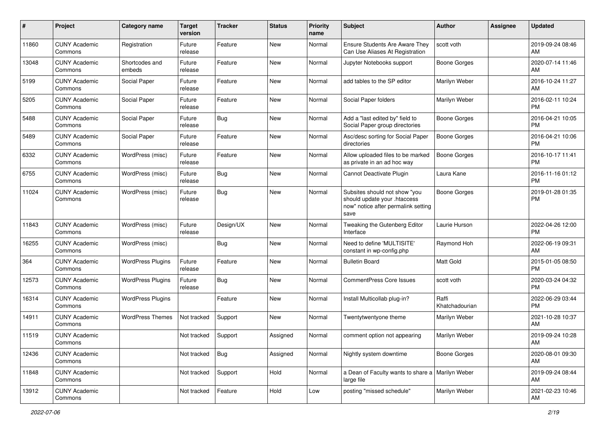| #     | Project                         | <b>Category name</b>     | <b>Target</b><br>version | <b>Tracker</b> | <b>Status</b> | <b>Priority</b><br>name | <b>Subject</b>                                                                                               | Author                  | <b>Assignee</b> | <b>Updated</b>                |
|-------|---------------------------------|--------------------------|--------------------------|----------------|---------------|-------------------------|--------------------------------------------------------------------------------------------------------------|-------------------------|-----------------|-------------------------------|
| 11860 | <b>CUNY Academic</b><br>Commons | Registration             | Future<br>release        | Feature        | New           | Normal                  | <b>Ensure Students Are Aware They</b><br>Can Use Aliases At Registration                                     | scott voth              |                 | 2019-09-24 08:46<br>AM        |
| 13048 | <b>CUNY Academic</b><br>Commons | Shortcodes and<br>embeds | Future<br>release        | Feature        | New           | Normal                  | Jupyter Notebooks support                                                                                    | Boone Gorges            |                 | 2020-07-14 11:46<br>AM        |
| 5199  | <b>CUNY Academic</b><br>Commons | Social Paper             | Future<br>release        | Feature        | New           | Normal                  | add tables to the SP editor                                                                                  | Marilyn Weber           |                 | 2016-10-24 11:27<br>AM        |
| 5205  | <b>CUNY Academic</b><br>Commons | Social Paper             | Future<br>release        | Feature        | New           | Normal                  | Social Paper folders                                                                                         | Marilyn Weber           |                 | 2016-02-11 10:24<br>PM        |
| 5488  | <b>CUNY Academic</b><br>Commons | Social Paper             | Future<br>release        | <b>Bug</b>     | New           | Normal                  | Add a "last edited by" field to<br>Social Paper group directories                                            | Boone Gorges            |                 | 2016-04-21 10:05<br>PM        |
| 5489  | <b>CUNY Academic</b><br>Commons | Social Paper             | Future<br>release        | Feature        | New           | Normal                  | Asc/desc sorting for Social Paper<br>directories                                                             | <b>Boone Gorges</b>     |                 | 2016-04-21 10:06<br><b>PM</b> |
| 6332  | <b>CUNY Academic</b><br>Commons | WordPress (misc)         | Future<br>release        | Feature        | New           | Normal                  | Allow uploaded files to be marked<br>as private in an ad hoc way                                             | Boone Gorges            |                 | 2016-10-17 11:41<br><b>PM</b> |
| 6755  | <b>CUNY Academic</b><br>Commons | WordPress (misc)         | Future<br>release        | Bug            | New           | Normal                  | Cannot Deactivate Plugin                                                                                     | Laura Kane              |                 | 2016-11-16 01:12<br>PM        |
| 11024 | <b>CUNY Academic</b><br>Commons | WordPress (misc)         | Future<br>release        | <b>Bug</b>     | New           | Normal                  | Subsites should not show "you<br>should update your .htaccess<br>now" notice after permalink setting<br>save | Boone Gorges            |                 | 2019-01-28 01:35<br><b>PM</b> |
| 11843 | <b>CUNY Academic</b><br>Commons | WordPress (misc)         | Future<br>release        | Design/UX      | New           | Normal                  | Tweaking the Gutenberg Editor<br>Interface                                                                   | Laurie Hurson           |                 | 2022-04-26 12:00<br>PM        |
| 16255 | <b>CUNY Academic</b><br>Commons | WordPress (misc)         |                          | <b>Bug</b>     | New           | Normal                  | Need to define 'MULTISITE'<br>constant in wp-config.php                                                      | Raymond Hoh             |                 | 2022-06-19 09:31<br>AM        |
| 364   | <b>CUNY Academic</b><br>Commons | <b>WordPress Plugins</b> | Future<br>release        | Feature        | New           | Normal                  | <b>Bulletin Board</b>                                                                                        | <b>Matt Gold</b>        |                 | 2015-01-05 08:50<br><b>PM</b> |
| 12573 | <b>CUNY Academic</b><br>Commons | <b>WordPress Plugins</b> | Future<br>release        | <b>Bug</b>     | <b>New</b>    | Normal                  | <b>CommentPress Core Issues</b>                                                                              | scott voth              |                 | 2020-03-24 04:32<br><b>PM</b> |
| 16314 | <b>CUNY Academic</b><br>Commons | <b>WordPress Plugins</b> |                          | Feature        | New           | Normal                  | Install Multicollab plug-in?                                                                                 | Raffi<br>Khatchadourian |                 | 2022-06-29 03:44<br>PM        |
| 14911 | <b>CUNY Academic</b><br>Commons | <b>WordPress Themes</b>  | Not tracked              | Support        | New           | Normal                  | Twentytwentyone theme                                                                                        | Marilyn Weber           |                 | 2021-10-28 10:37<br>AM        |
| 11519 | <b>CUNY Academic</b><br>Commons |                          | Not tracked              | Support        | Assigned      | Normal                  | comment option not appearing                                                                                 | Marilyn Weber           |                 | 2019-09-24 10:28<br>AM        |
| 12436 | <b>CUNY Academic</b><br>Commons |                          | Not tracked              | <b>Bug</b>     | Assigned      | Normal                  | Nightly system downtime                                                                                      | Boone Gorges            |                 | 2020-08-01 09:30<br>AM        |
| 11848 | <b>CUNY Academic</b><br>Commons |                          | Not tracked              | Support        | Hold          | Normal                  | a Dean of Faculty wants to share a   Marilyn Weber<br>large file                                             |                         |                 | 2019-09-24 08:44<br>AM        |
| 13912 | <b>CUNY Academic</b><br>Commons |                          | Not tracked              | Feature        | Hold          | Low                     | posting "missed schedule"                                                                                    | Marilyn Weber           |                 | 2021-02-23 10:46<br>AM        |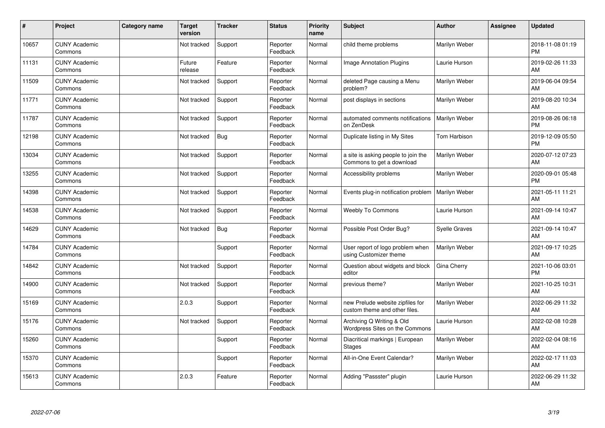| #     | Project                         | <b>Category name</b> | <b>Target</b><br>version | <b>Tracker</b> | <b>Status</b>        | <b>Priority</b><br>name | <b>Subject</b>                                                    | <b>Author</b>        | <b>Assignee</b> | <b>Updated</b>                |
|-------|---------------------------------|----------------------|--------------------------|----------------|----------------------|-------------------------|-------------------------------------------------------------------|----------------------|-----------------|-------------------------------|
| 10657 | <b>CUNY Academic</b><br>Commons |                      | Not tracked              | Support        | Reporter<br>Feedback | Normal                  | child theme problems                                              | Marilyn Weber        |                 | 2018-11-08 01:19<br><b>PM</b> |
| 11131 | <b>CUNY Academic</b><br>Commons |                      | Future<br>release        | Feature        | Reporter<br>Feedback | Normal                  | Image Annotation Plugins                                          | Laurie Hurson        |                 | 2019-02-26 11:33<br>AM        |
| 11509 | <b>CUNY Academic</b><br>Commons |                      | Not tracked              | Support        | Reporter<br>Feedback | Normal                  | deleted Page causing a Menu<br>problem?                           | Marilyn Weber        |                 | 2019-06-04 09:54<br>AM        |
| 11771 | <b>CUNY Academic</b><br>Commons |                      | Not tracked              | Support        | Reporter<br>Feedback | Normal                  | post displays in sections                                         | Marilyn Weber        |                 | 2019-08-20 10:34<br>AM        |
| 11787 | <b>CUNY Academic</b><br>Commons |                      | Not tracked              | Support        | Reporter<br>Feedback | Normal                  | automated comments notifications<br>on ZenDesk                    | Marilyn Weber        |                 | 2019-08-26 06:18<br><b>PM</b> |
| 12198 | <b>CUNY Academic</b><br>Commons |                      | Not tracked              | <b>Bug</b>     | Reporter<br>Feedback | Normal                  | Duplicate listing in My Sites                                     | Tom Harbison         |                 | 2019-12-09 05:50<br><b>PM</b> |
| 13034 | <b>CUNY Academic</b><br>Commons |                      | Not tracked              | Support        | Reporter<br>Feedback | Normal                  | a site is asking people to join the<br>Commons to get a download  | Marilyn Weber        |                 | 2020-07-12 07:23<br>AM        |
| 13255 | <b>CUNY Academic</b><br>Commons |                      | Not tracked              | Support        | Reporter<br>Feedback | Normal                  | Accessibility problems                                            | Marilyn Weber        |                 | 2020-09-01 05:48<br><b>PM</b> |
| 14398 | <b>CUNY Academic</b><br>Commons |                      | Not tracked              | Support        | Reporter<br>Feedback | Normal                  | Events plug-in notification problem                               | <b>Marilyn Weber</b> |                 | 2021-05-11 11:21<br>AM        |
| 14538 | <b>CUNY Academic</b><br>Commons |                      | Not tracked              | Support        | Reporter<br>Feedback | Normal                  | <b>Weebly To Commons</b>                                          | Laurie Hurson        |                 | 2021-09-14 10:47<br>AM        |
| 14629 | <b>CUNY Academic</b><br>Commons |                      | Not tracked              | <b>Bug</b>     | Reporter<br>Feedback | Normal                  | Possible Post Order Bug?                                          | <b>Syelle Graves</b> |                 | 2021-09-14 10:47<br>AM        |
| 14784 | <b>CUNY Academic</b><br>Commons |                      |                          | Support        | Reporter<br>Feedback | Normal                  | User report of logo problem when<br>using Customizer theme        | Marilyn Weber        |                 | 2021-09-17 10:25<br>AM        |
| 14842 | <b>CUNY Academic</b><br>Commons |                      | Not tracked              | Support        | Reporter<br>Feedback | Normal                  | Question about widgets and block<br>editor                        | Gina Cherry          |                 | 2021-10-06 03:01<br><b>PM</b> |
| 14900 | <b>CUNY Academic</b><br>Commons |                      | Not tracked              | Support        | Reporter<br>Feedback | Normal                  | previous theme?                                                   | Marilyn Weber        |                 | 2021-10-25 10:31<br>AM        |
| 15169 | <b>CUNY Academic</b><br>Commons |                      | 2.0.3                    | Support        | Reporter<br>Feedback | Normal                  | new Prelude website zipfiles for<br>custom theme and other files. | Marilyn Weber        |                 | 2022-06-29 11:32<br>AM        |
| 15176 | <b>CUNY Academic</b><br>Commons |                      | Not tracked              | Support        | Reporter<br>Feedback | Normal                  | Archiving Q Writing & Old<br>Wordpress Sites on the Commons       | Laurie Hurson        |                 | 2022-02-08 10:28<br>AM        |
| 15260 | <b>CUNY Academic</b><br>Commons |                      |                          | Support        | Reporter<br>Feedback | Normal                  | Diacritical markings   European<br>Stages                         | Marilyn Weber        |                 | 2022-02-04 08:16<br>AM        |
| 15370 | <b>CUNY Academic</b><br>Commons |                      |                          | Support        | Reporter<br>Feedback | Normal                  | All-in-One Event Calendar?                                        | Marilyn Weber        |                 | 2022-02-17 11:03<br>AM        |
| 15613 | <b>CUNY Academic</b><br>Commons |                      | 2.0.3                    | Feature        | Reporter<br>Feedback | Normal                  | Adding "Passster" plugin                                          | Laurie Hurson        |                 | 2022-06-29 11:32<br>AM        |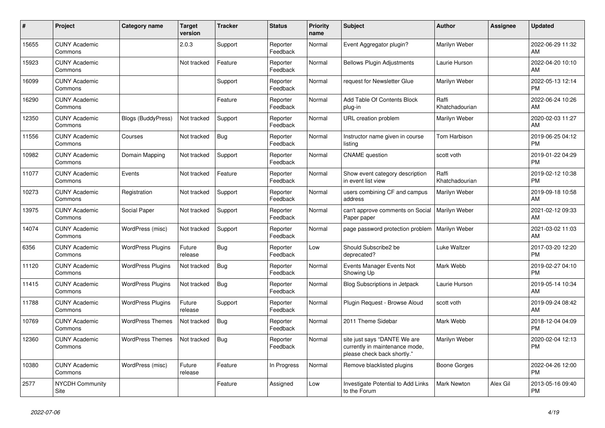| #     | Project                         | <b>Category name</b>      | <b>Target</b><br>version | <b>Tracker</b> | <b>Status</b>        | <b>Priority</b><br>name | <b>Subject</b>                                                                                | <b>Author</b>           | <b>Assignee</b> | <b>Updated</b>                |
|-------|---------------------------------|---------------------------|--------------------------|----------------|----------------------|-------------------------|-----------------------------------------------------------------------------------------------|-------------------------|-----------------|-------------------------------|
| 15655 | <b>CUNY Academic</b><br>Commons |                           | 2.0.3                    | Support        | Reporter<br>Feedback | Normal                  | Event Aggregator plugin?                                                                      | Marilyn Weber           |                 | 2022-06-29 11:32<br>AM        |
| 15923 | <b>CUNY Academic</b><br>Commons |                           | Not tracked              | Feature        | Reporter<br>Feedback | Normal                  | <b>Bellows Plugin Adjustments</b>                                                             | Laurie Hurson           |                 | 2022-04-20 10:10<br>AM        |
| 16099 | <b>CUNY Academic</b><br>Commons |                           |                          | Support        | Reporter<br>Feedback | Normal                  | request for Newsletter Glue                                                                   | Marilyn Weber           |                 | 2022-05-13 12:14<br><b>PM</b> |
| 16290 | <b>CUNY Academic</b><br>Commons |                           |                          | Feature        | Reporter<br>Feedback | Normal                  | Add Table Of Contents Block<br>plug-in                                                        | Raffi<br>Khatchadourian |                 | 2022-06-24 10:26<br>AM        |
| 12350 | <b>CUNY Academic</b><br>Commons | <b>Blogs (BuddyPress)</b> | Not tracked              | Support        | Reporter<br>Feedback | Normal                  | URL creation problem                                                                          | Marilyn Weber           |                 | 2020-02-03 11:27<br>AM        |
| 11556 | <b>CUNY Academic</b><br>Commons | Courses                   | Not tracked              | <b>Bug</b>     | Reporter<br>Feedback | Normal                  | Instructor name given in course<br>listina                                                    | Tom Harbison            |                 | 2019-06-25 04:12<br><b>PM</b> |
| 10982 | <b>CUNY Academic</b><br>Commons | Domain Mapping            | Not tracked              | Support        | Reporter<br>Feedback | Normal                  | <b>CNAME</b> question                                                                         | scott voth              |                 | 2019-01-22 04:29<br><b>PM</b> |
| 11077 | <b>CUNY Academic</b><br>Commons | Events                    | Not tracked              | Feature        | Reporter<br>Feedback | Normal                  | Show event category description<br>in event list view                                         | Raffi<br>Khatchadourian |                 | 2019-02-12 10:38<br><b>PM</b> |
| 10273 | <b>CUNY Academic</b><br>Commons | Registration              | Not tracked              | Support        | Reporter<br>Feedback | Normal                  | users combining CF and campus<br>address                                                      | Marilyn Weber           |                 | 2019-09-18 10:58<br>AM        |
| 13975 | <b>CUNY Academic</b><br>Commons | Social Paper              | Not tracked              | Support        | Reporter<br>Feedback | Normal                  | can't approve comments on Social<br>Paper paper                                               | Marilyn Weber           |                 | 2021-02-12 09:33<br>AM        |
| 14074 | <b>CUNY Academic</b><br>Commons | WordPress (misc)          | Not tracked              | Support        | Reporter<br>Feedback | Normal                  | page password protection problem                                                              | Marilyn Weber           |                 | 2021-03-02 11:03<br>AM        |
| 6356  | <b>CUNY Academic</b><br>Commons | <b>WordPress Plugins</b>  | Future<br>release        | <b>Bug</b>     | Reporter<br>Feedback | Low                     | Should Subscribe2 be<br>deprecated?                                                           | Luke Waltzer            |                 | 2017-03-20 12:20<br><b>PM</b> |
| 11120 | <b>CUNY Academic</b><br>Commons | <b>WordPress Plugins</b>  | Not tracked              | <b>Bug</b>     | Reporter<br>Feedback | Normal                  | Events Manager Events Not<br>Showing Up                                                       | Mark Webb               |                 | 2019-02-27 04:10<br><b>PM</b> |
| 11415 | <b>CUNY Academic</b><br>Commons | <b>WordPress Plugins</b>  | Not tracked              | <b>Bug</b>     | Reporter<br>Feedback | Normal                  | <b>Blog Subscriptions in Jetpack</b>                                                          | Laurie Hurson           |                 | 2019-05-14 10:34<br>AM        |
| 11788 | <b>CUNY Academic</b><br>Commons | <b>WordPress Plugins</b>  | Future<br>release        | Support        | Reporter<br>Feedback | Normal                  | Plugin Request - Browse Aloud                                                                 | scott voth              |                 | 2019-09-24 08:42<br>AM        |
| 10769 | <b>CUNY Academic</b><br>Commons | <b>WordPress Themes</b>   | Not tracked              | <b>Bug</b>     | Reporter<br>Feedback | Normal                  | 2011 Theme Sidebar                                                                            | Mark Webb               |                 | 2018-12-04 04:09<br><b>PM</b> |
| 12360 | <b>CUNY Academic</b><br>Commons | <b>WordPress Themes</b>   | Not tracked              | <b>Bug</b>     | Reporter<br>Feedback | Normal                  | site just says "DANTE We are<br>currently in maintenance mode,<br>please check back shortly." | Marilyn Weber           |                 | 2020-02-04 12:13<br><b>PM</b> |
| 10380 | <b>CUNY Academic</b><br>Commons | WordPress (misc)          | Future<br>release        | Feature        | In Progress          | Normal                  | Remove blacklisted plugins                                                                    | Boone Gorges            |                 | 2022-04-26 12:00<br>PM        |
| 2577  | <b>NYCDH Community</b><br>Site  |                           |                          | Feature        | Assigned             | Low                     | <b>Investigate Potential to Add Links</b><br>to the Forum                                     | <b>Mark Newton</b>      | Alex Gil        | 2013-05-16 09:40<br><b>PM</b> |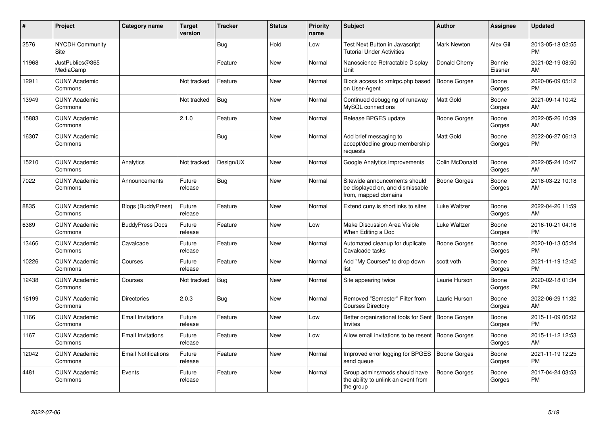| #     | Project                         | Category name              | <b>Target</b><br>version | <b>Tracker</b> | <b>Status</b> | Priority<br>name | <b>Subject</b>                                                                            | Author              | Assignee          | <b>Updated</b>                |
|-------|---------------------------------|----------------------------|--------------------------|----------------|---------------|------------------|-------------------------------------------------------------------------------------------|---------------------|-------------------|-------------------------------|
| 2576  | <b>NYCDH Community</b><br>Site  |                            |                          | Bug            | Hold          | Low              | <b>Test Next Button in Javascript</b><br><b>Tutorial Under Activities</b>                 | <b>Mark Newton</b>  | Alex Gil          | 2013-05-18 02:55<br><b>PM</b> |
| 11968 | JustPublics@365<br>MediaCamp    |                            |                          | Feature        | <b>New</b>    | Normal           | Nanoscience Retractable Display<br>Unit                                                   | Donald Cherry       | Bonnie<br>Eissner | 2021-02-19 08:50<br>AM        |
| 12911 | <b>CUNY Academic</b><br>Commons |                            | Not tracked              | Feature        | New           | Normal           | Block access to xmlrpc.php based<br>on User-Agent                                         | Boone Gorges        | Boone<br>Gorges   | 2020-06-09 05:12<br><b>PM</b> |
| 13949 | <b>CUNY Academic</b><br>Commons |                            | Not tracked              | <b>Bug</b>     | New           | Normal           | Continued debugging of runaway<br>MySQL connections                                       | <b>Matt Gold</b>    | Boone<br>Gorges   | 2021-09-14 10:42<br>AM        |
| 15883 | <b>CUNY Academic</b><br>Commons |                            | 2.1.0                    | Feature        | New           | Normal           | Release BPGES update                                                                      | <b>Boone Gorges</b> | Boone<br>Gorges   | 2022-05-26 10:39<br>AM        |
| 16307 | <b>CUNY Academic</b><br>Commons |                            |                          | <b>Bug</b>     | <b>New</b>    | Normal           | Add brief messaging to<br>accept/decline group membership<br>requests                     | <b>Matt Gold</b>    | Boone<br>Gorges   | 2022-06-27 06:13<br><b>PM</b> |
| 15210 | <b>CUNY Academic</b><br>Commons | Analytics                  | Not tracked              | Design/UX      | <b>New</b>    | Normal           | Google Analytics improvements                                                             | Colin McDonald      | Boone<br>Gorges   | 2022-05-24 10:47<br>AM        |
| 7022  | <b>CUNY Academic</b><br>Commons | Announcements              | Future<br>release        | Bug            | New           | Normal           | Sitewide announcements should<br>be displayed on, and dismissable<br>from, mapped domains | Boone Gorges        | Boone<br>Gorges   | 2018-03-22 10:18<br>AM        |
| 8835  | <b>CUNY Academic</b><br>Commons | Blogs (BuddyPress)         | Future<br>release        | Feature        | <b>New</b>    | Normal           | Extend cuny is shortlinks to sites                                                        | Luke Waltzer        | Boone<br>Gorges   | 2022-04-26 11:59<br>AM        |
| 6389  | <b>CUNY Academic</b><br>Commons | <b>BuddyPress Docs</b>     | Future<br>release        | Feature        | <b>New</b>    | Low              | Make Discussion Area Visible<br>When Editing a Doc                                        | Luke Waltzer        | Boone<br>Gorges   | 2016-10-21 04:16<br><b>PM</b> |
| 13466 | <b>CUNY Academic</b><br>Commons | Cavalcade                  | Future<br>release        | Feature        | <b>New</b>    | Normal           | Automated cleanup for duplicate<br>Cavalcade tasks                                        | <b>Boone Gorges</b> | Boone<br>Gorges   | 2020-10-13 05:24<br><b>PM</b> |
| 10226 | <b>CUNY Academic</b><br>Commons | Courses                    | Future<br>release        | Feature        | <b>New</b>    | Normal           | Add "My Courses" to drop down<br>list                                                     | scott voth          | Boone<br>Gorges   | 2021-11-19 12:42<br><b>PM</b> |
| 12438 | <b>CUNY Academic</b><br>Commons | Courses                    | Not tracked              | <b>Bug</b>     | <b>New</b>    | Normal           | Site appearing twice                                                                      | Laurie Hurson       | Boone<br>Gorges   | 2020-02-18 01:34<br><b>PM</b> |
| 16199 | <b>CUNY Academic</b><br>Commons | <b>Directories</b>         | 2.0.3                    | <b>Bug</b>     | New           | Normal           | Removed "Semester" Filter from<br><b>Courses Directory</b>                                | Laurie Hurson       | Boone<br>Gorges   | 2022-06-29 11:32<br>AM        |
| 1166  | <b>CUNY Academic</b><br>Commons | <b>Email Invitations</b>   | Future<br>release        | Feature        | <b>New</b>    | Low              | Better organizational tools for Sent<br><b>Invites</b>                                    | <b>Boone Gorges</b> | Boone<br>Gorges   | 2015-11-09 06:02<br><b>PM</b> |
| 1167  | <b>CUNY Academic</b><br>Commons | <b>Email Invitations</b>   | Future<br>release        | Feature        | <b>New</b>    | Low              | Allow email invitations to be resent                                                      | <b>Boone Gorges</b> | Boone<br>Gorges   | 2015-11-12 12:53<br>AM        |
| 12042 | <b>CUNY Academic</b><br>Commons | <b>Email Notifications</b> | Future<br>release        | Feature        | New           | Normal           | Improved error logging for BPGES<br>send queue                                            | <b>Boone Gorges</b> | Boone<br>Gorges   | 2021-11-19 12:25<br><b>PM</b> |
| 4481  | <b>CUNY Academic</b><br>Commons | Events                     | Future<br>release        | Feature        | <b>New</b>    | Normal           | Group admins/mods should have<br>the ability to unlink an event from<br>the group         | <b>Boone Gorges</b> | Boone<br>Gorges   | 2017-04-24 03:53<br><b>PM</b> |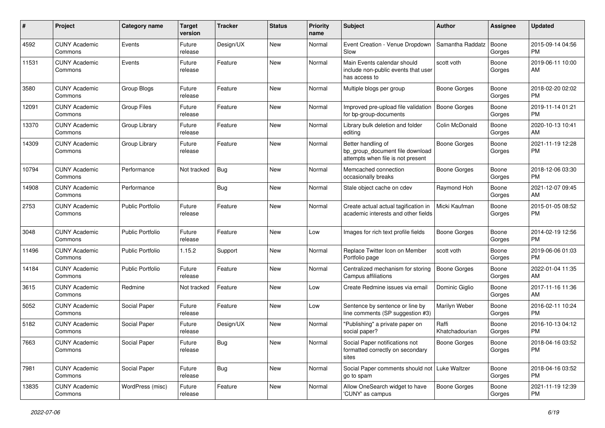| #     | Project                         | <b>Category name</b>    | <b>Target</b><br>version | <b>Tracker</b> | <b>Status</b> | <b>Priority</b><br>name | <b>Subject</b>                                                                             | Author                  | <b>Assignee</b> | <b>Updated</b>                |
|-------|---------------------------------|-------------------------|--------------------------|----------------|---------------|-------------------------|--------------------------------------------------------------------------------------------|-------------------------|-----------------|-------------------------------|
| 4592  | <b>CUNY Academic</b><br>Commons | Events                  | Future<br>release        | Design/UX      | New           | Normal                  | Event Creation - Venue Dropdown<br>Slow                                                    | Samantha Raddatz        | Boone<br>Gorges | 2015-09-14 04:56<br><b>PM</b> |
| 11531 | <b>CUNY Academic</b><br>Commons | Events                  | Future<br>release        | Feature        | New           | Normal                  | Main Events calendar should<br>include non-public events that user<br>has access to        | scott voth              | Boone<br>Gorges | 2019-06-11 10:00<br>AM        |
| 3580  | <b>CUNY Academic</b><br>Commons | Group Blogs             | Future<br>release        | Feature        | New           | Normal                  | Multiple blogs per group                                                                   | Boone Gorges            | Boone<br>Gorges | 2018-02-20 02:02<br><b>PM</b> |
| 12091 | <b>CUNY Academic</b><br>Commons | <b>Group Files</b>      | Future<br>release        | Feature        | New           | Normal                  | Improved pre-upload file validation<br>for bp-group-documents                              | Boone Gorges            | Boone<br>Gorges | 2019-11-14 01:21<br><b>PM</b> |
| 13370 | <b>CUNY Academic</b><br>Commons | Group Library           | Future<br>release        | Feature        | New           | Normal                  | Library bulk deletion and folder<br>editing                                                | Colin McDonald          | Boone<br>Gorges | 2020-10-13 10:41<br>AM        |
| 14309 | <b>CUNY Academic</b><br>Commons | Group Library           | Future<br>release        | Feature        | New           | Normal                  | Better handling of<br>bp_group_document file download<br>attempts when file is not present | Boone Gorges            | Boone<br>Gorges | 2021-11-19 12:28<br><b>PM</b> |
| 10794 | <b>CUNY Academic</b><br>Commons | Performance             | Not tracked              | Bug            | New           | Normal                  | Memcached connection<br>occasionally breaks                                                | Boone Gorges            | Boone<br>Gorges | 2018-12-06 03:30<br><b>PM</b> |
| 14908 | <b>CUNY Academic</b><br>Commons | Performance             |                          | <b>Bug</b>     | New           | Normal                  | Stale object cache on cdev                                                                 | Raymond Hoh             | Boone<br>Gorges | 2021-12-07 09:45<br>AM        |
| 2753  | <b>CUNY Academic</b><br>Commons | Public Portfolio        | Future<br>release        | Feature        | New           | Normal                  | Create actual actual tagification in<br>academic interests and other fields                | Micki Kaufman           | Boone<br>Gorges | 2015-01-05 08:52<br><b>PM</b> |
| 3048  | <b>CUNY Academic</b><br>Commons | <b>Public Portfolio</b> | Future<br>release        | Feature        | New           | Low                     | Images for rich text profile fields                                                        | Boone Gorges            | Boone<br>Gorges | 2014-02-19 12:56<br><b>PM</b> |
| 11496 | <b>CUNY Academic</b><br>Commons | <b>Public Portfolio</b> | 1.15.2                   | Support        | New           | Normal                  | Replace Twitter Icon on Member<br>Portfolio page                                           | scott voth              | Boone<br>Gorges | 2019-06-06 01:03<br><b>PM</b> |
| 14184 | <b>CUNY Academic</b><br>Commons | <b>Public Portfolio</b> | Future<br>release        | Feature        | New           | Normal                  | Centralized mechanism for storing<br>Campus affiliations                                   | <b>Boone Gorges</b>     | Boone<br>Gorges | 2022-01-04 11:35<br>AM        |
| 3615  | <b>CUNY Academic</b><br>Commons | Redmine                 | Not tracked              | Feature        | New           | Low                     | Create Redmine issues via email                                                            | Dominic Giglio          | Boone<br>Gorges | 2017-11-16 11:36<br>AM        |
| 5052  | <b>CUNY Academic</b><br>Commons | Social Paper            | Future<br>release        | Feature        | <b>New</b>    | Low                     | Sentence by sentence or line by<br>line comments (SP suggestion #3)                        | Marilyn Weber           | Boone<br>Gorges | 2016-02-11 10:24<br><b>PM</b> |
| 5182  | <b>CUNY Academic</b><br>Commons | Social Paper            | Future<br>release        | Design/UX      | <b>New</b>    | Normal                  | "Publishing" a private paper on<br>social paper?                                           | Raffi<br>Khatchadourian | Boone<br>Gorges | 2016-10-13 04:12<br><b>PM</b> |
| 7663  | <b>CUNY Academic</b><br>Commons | Social Paper            | Future<br>release        | Bug            | New           | Normal                  | Social Paper notifications not<br>formatted correctly on secondary<br>sites                | Boone Gorges            | Boone<br>Gorges | 2018-04-16 03:52<br><b>PM</b> |
| 7981  | <b>CUNY Academic</b><br>Commons | Social Paper            | Future<br>release        | Bug            | New           | Normal                  | Social Paper comments should not   Luke Waltzer<br>go to spam                              |                         | Boone<br>Gorges | 2018-04-16 03:52<br><b>PM</b> |
| 13835 | <b>CUNY Academic</b><br>Commons | WordPress (misc)        | Future<br>release        | Feature        | New           | Normal                  | Allow OneSearch widget to have<br>'CUNY' as campus                                         | Boone Gorges            | Boone<br>Gorges | 2021-11-19 12:39<br><b>PM</b> |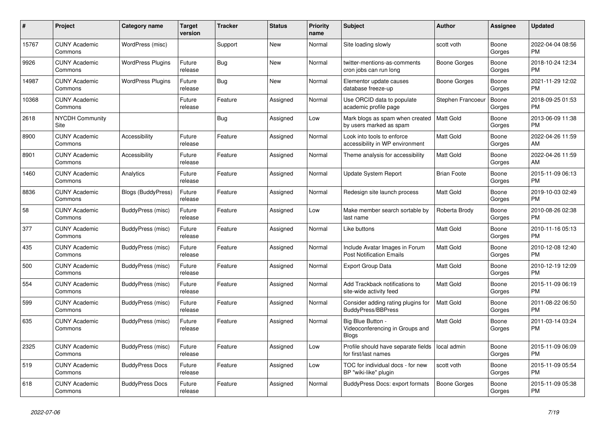| #     | <b>Project</b>                  | <b>Category name</b>      | <b>Target</b><br>version | <b>Tracker</b> | <b>Status</b> | <b>Priority</b><br>name | <b>Subject</b>                                                       | <b>Author</b>       | Assignee        | <b>Updated</b>                |
|-------|---------------------------------|---------------------------|--------------------------|----------------|---------------|-------------------------|----------------------------------------------------------------------|---------------------|-----------------|-------------------------------|
| 15767 | <b>CUNY Academic</b><br>Commons | WordPress (misc)          |                          | Support        | New           | Normal                  | Site loading slowly                                                  | scott voth          | Boone<br>Gorges | 2022-04-04 08:56<br><b>PM</b> |
| 9926  | <b>CUNY Academic</b><br>Commons | <b>WordPress Plugins</b>  | Future<br>release        | Bug            | New           | Normal                  | twitter-mentions-as-comments<br>cron jobs can run long               | Boone Gorges        | Boone<br>Gorges | 2018-10-24 12:34<br><b>PM</b> |
| 14987 | <b>CUNY Academic</b><br>Commons | <b>WordPress Plugins</b>  | Future<br>release        | Bug            | New           | Normal                  | Elementor update causes<br>database freeze-up                        | Boone Gorges        | Boone<br>Gorges | 2021-11-29 12:02<br><b>PM</b> |
| 10368 | <b>CUNY Academic</b><br>Commons |                           | Future<br>release        | Feature        | Assigned      | Normal                  | Use ORCID data to populate<br>academic profile page                  | Stephen Francoeur   | Boone<br>Gorges | 2018-09-25 01:53<br><b>PM</b> |
| 2618  | <b>NYCDH Community</b><br>Site  |                           |                          | Bug            | Assigned      | Low                     | Mark blogs as spam when created<br>by users marked as spam           | <b>Matt Gold</b>    | Boone<br>Gorges | 2013-06-09 11:38<br><b>PM</b> |
| 8900  | <b>CUNY Academic</b><br>Commons | Accessibility             | Future<br>release        | Feature        | Assigned      | Normal                  | Look into tools to enforce<br>accessibility in WP environment        | Matt Gold           | Boone<br>Gorges | 2022-04-26 11:59<br>AM        |
| 8901  | <b>CUNY Academic</b><br>Commons | Accessibility             | Future<br>release        | Feature        | Assigned      | Normal                  | Theme analysis for accessibility                                     | Matt Gold           | Boone<br>Gorges | 2022-04-26 11:59<br>AM        |
| 1460  | <b>CUNY Academic</b><br>Commons | Analytics                 | Future<br>release        | Feature        | Assigned      | Normal                  | Update System Report                                                 | <b>Brian Foote</b>  | Boone<br>Gorges | 2015-11-09 06:13<br>PM        |
| 8836  | <b>CUNY Academic</b><br>Commons | <b>Blogs (BuddyPress)</b> | Future<br>release        | Feature        | Assigned      | Normal                  | Redesign site launch process                                         | Matt Gold           | Boone<br>Gorges | 2019-10-03 02:49<br><b>PM</b> |
| 58    | <b>CUNY Academic</b><br>Commons | BuddyPress (misc)         | Future<br>release        | Feature        | Assigned      | Low                     | Make member search sortable by<br>last name                          | Roberta Brody       | Boone<br>Gorges | 2010-08-26 02:38<br><b>PM</b> |
| 377   | <b>CUNY Academic</b><br>Commons | BuddyPress (misc)         | Future<br>release        | Feature        | Assigned      | Normal                  | Like buttons                                                         | Matt Gold           | Boone<br>Gorges | 2010-11-16 05:13<br><b>PM</b> |
| 435   | <b>CUNY Academic</b><br>Commons | BuddyPress (misc)         | Future<br>release        | Feature        | Assigned      | Normal                  | Include Avatar Images in Forum<br><b>Post Notification Emails</b>    | Matt Gold           | Boone<br>Gorges | 2010-12-08 12:40<br><b>PM</b> |
| 500   | <b>CUNY Academic</b><br>Commons | BuddyPress (misc)         | Future<br>release        | Feature        | Assigned      | Normal                  | <b>Export Group Data</b>                                             | Matt Gold           | Boone<br>Gorges | 2010-12-19 12:09<br><b>PM</b> |
| 554   | <b>CUNY Academic</b><br>Commons | BuddyPress (misc)         | Future<br>release        | Feature        | Assigned      | Normal                  | Add Trackback notifications to<br>site-wide activity feed            | Matt Gold           | Boone<br>Gorges | 2015-11-09 06:19<br><b>PM</b> |
| 599   | <b>CUNY Academic</b><br>Commons | BuddyPress (misc)         | Future<br>release        | Feature        | Assigned      | Normal                  | Consider adding rating plugins for<br><b>BuddyPress/BBPress</b>      | Matt Gold           | Boone<br>Gorges | 2011-08-22 06:50<br><b>PM</b> |
| 635   | <b>CUNY Academic</b><br>Commons | BuddyPress (misc)         | Future<br>release        | Feature        | Assigned      | Normal                  | Big Blue Button -<br>Videoconferencing in Groups and<br><b>Blogs</b> | Matt Gold           | Boone<br>Gorges | 2011-03-14 03:24<br><b>PM</b> |
| 2325  | <b>CUNY Academic</b><br>Commons | BuddyPress (misc)         | Future<br>release        | Feature        | Assigned      | Low                     | Profile should have separate fields<br>for first/last names          | local admin         | Boone<br>Gorges | 2015-11-09 06:09<br><b>PM</b> |
| 519   | <b>CUNY Academic</b><br>Commons | <b>BuddyPress Docs</b>    | Future<br>release        | Feature        | Assigned      | Low                     | TOC for individual docs - for new<br>BP "wiki-like" plugin           | scott voth          | Boone<br>Gorges | 2015-11-09 05:54<br><b>PM</b> |
| 618   | <b>CUNY Academic</b><br>Commons | <b>BuddyPress Docs</b>    | Future<br>release        | Feature        | Assigned      | Normal                  | <b>BuddyPress Docs: export formats</b>                               | <b>Boone Gorges</b> | Boone<br>Gorges | 2015-11-09 05:38<br><b>PM</b> |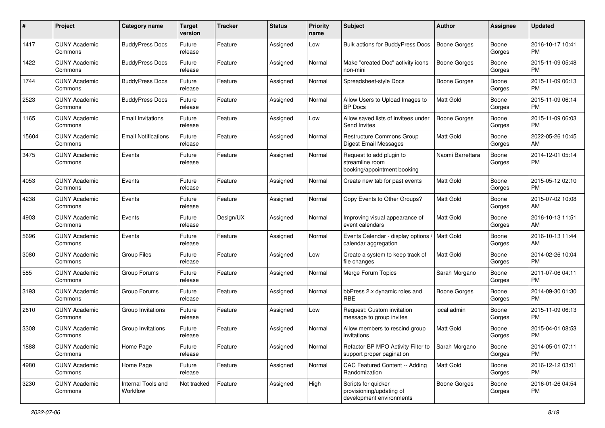| #     | Project                         | <b>Category name</b>           | <b>Target</b><br>version | <b>Tracker</b> | <b>Status</b> | <b>Priority</b><br>name | <b>Subject</b>                                                              | Author              | <b>Assignee</b> | <b>Updated</b>                |
|-------|---------------------------------|--------------------------------|--------------------------|----------------|---------------|-------------------------|-----------------------------------------------------------------------------|---------------------|-----------------|-------------------------------|
| 1417  | <b>CUNY Academic</b><br>Commons | <b>BuddyPress Docs</b>         | Future<br>release        | Feature        | Assigned      | Low                     | <b>Bulk actions for BuddyPress Docs</b>                                     | <b>Boone Gorges</b> | Boone<br>Gorges | 2016-10-17 10:41<br>PM        |
| 1422  | <b>CUNY Academic</b><br>Commons | <b>BuddyPress Docs</b>         | Future<br>release        | Feature        | Assigned      | Normal                  | Make "created Doc" activity icons<br>non-mini                               | <b>Boone Gorges</b> | Boone<br>Gorges | 2015-11-09 05:48<br><b>PM</b> |
| 1744  | <b>CUNY Academic</b><br>Commons | <b>BuddyPress Docs</b>         | Future<br>release        | Feature        | Assigned      | Normal                  | Spreadsheet-style Docs                                                      | Boone Gorges        | Boone<br>Gorges | 2015-11-09 06:13<br>PM        |
| 2523  | <b>CUNY Academic</b><br>Commons | <b>BuddyPress Docs</b>         | Future<br>release        | Feature        | Assigned      | Normal                  | Allow Users to Upload Images to<br><b>BP</b> Docs                           | <b>Matt Gold</b>    | Boone<br>Gorges | 2015-11-09 06:14<br>PM        |
| 1165  | <b>CUNY Academic</b><br>Commons | <b>Email Invitations</b>       | Future<br>release        | Feature        | Assigned      | Low                     | Allow saved lists of invitees under<br>Send Invites                         | Boone Gorges        | Boone<br>Gorges | 2015-11-09 06:03<br>PM        |
| 15604 | <b>CUNY Academic</b><br>Commons | <b>Email Notifications</b>     | Future<br>release        | Feature        | Assigned      | Normal                  | Restructure Commons Group<br>Digest Email Messages                          | <b>Matt Gold</b>    | Boone<br>Gorges | 2022-05-26 10:45<br>AM        |
| 3475  | <b>CUNY Academic</b><br>Commons | Events                         | Future<br>release        | Feature        | Assigned      | Normal                  | Request to add plugin to<br>streamline room<br>booking/appointment booking  | Naomi Barrettara    | Boone<br>Gorges | 2014-12-01 05:14<br>PM        |
| 4053  | <b>CUNY Academic</b><br>Commons | Events                         | Future<br>release        | Feature        | Assigned      | Normal                  | Create new tab for past events                                              | <b>Matt Gold</b>    | Boone<br>Gorges | 2015-05-12 02:10<br>PM        |
| 4238  | <b>CUNY Academic</b><br>Commons | Events                         | Future<br>release        | Feature        | Assigned      | Normal                  | Copy Events to Other Groups?                                                | <b>Matt Gold</b>    | Boone<br>Gorges | 2015-07-02 10:08<br>AM        |
| 4903  | <b>CUNY Academic</b><br>Commons | Events                         | Future<br>release        | Design/UX      | Assigned      | Normal                  | Improving visual appearance of<br>event calendars                           | <b>Matt Gold</b>    | Boone<br>Gorges | 2016-10-13 11:51<br>AM        |
| 5696  | <b>CUNY Academic</b><br>Commons | Events                         | Future<br>release        | Feature        | Assigned      | Normal                  | Events Calendar - display options /<br>calendar aggregation                 | Matt Gold           | Boone<br>Gorges | 2016-10-13 11:44<br>AM        |
| 3080  | <b>CUNY Academic</b><br>Commons | <b>Group Files</b>             | Future<br>release        | Feature        | Assigned      | Low                     | Create a system to keep track of<br>file changes                            | Matt Gold           | Boone<br>Gorges | 2014-02-26 10:04<br>PM        |
| 585   | <b>CUNY Academic</b><br>Commons | Group Forums                   | Future<br>release        | Feature        | Assigned      | Normal                  | Merge Forum Topics                                                          | Sarah Morgano       | Boone<br>Gorges | 2011-07-06 04:11<br>PM        |
| 3193  | <b>CUNY Academic</b><br>Commons | Group Forums                   | Future<br>release        | Feature        | Assigned      | Normal                  | bbPress 2.x dynamic roles and<br><b>RBE</b>                                 | Boone Gorges        | Boone<br>Gorges | 2014-09-30 01:30<br>PM        |
| 2610  | <b>CUNY Academic</b><br>Commons | Group Invitations              | Future<br>release        | Feature        | Assigned      | Low                     | Request: Custom invitation<br>message to group invites                      | local admin         | Boone<br>Gorges | 2015-11-09 06:13<br>PM        |
| 3308  | <b>CUNY Academic</b><br>Commons | Group Invitations              | Future<br>release        | Feature        | Assigned      | Normal                  | Allow members to rescind group<br>invitations                               | <b>Matt Gold</b>    | Boone<br>Gorges | 2015-04-01 08:53<br>PM        |
| 1888  | <b>CUNY Academic</b><br>Commons | Home Page                      | Future<br>release        | Feature        | Assigned      | Normal                  | Refactor BP MPO Activity Filter to<br>support proper pagination             | Sarah Morgano       | Boone<br>Gorges | 2014-05-01 07:11<br>PM        |
| 4980  | <b>CUNY Academic</b><br>Commons | Home Page                      | Future<br>release        | Feature        | Assigned      | Normal                  | CAC Featured Content -- Adding<br>Randomization                             | Matt Gold           | Boone<br>Gorges | 2016-12-12 03:01<br>PM        |
| 3230  | <b>CUNY Academic</b><br>Commons | Internal Tools and<br>Workflow | Not tracked              | Feature        | Assigned      | High                    | Scripts for quicker<br>provisioning/updating of<br>development environments | <b>Boone Gorges</b> | Boone<br>Gorges | 2016-01-26 04:54<br><b>PM</b> |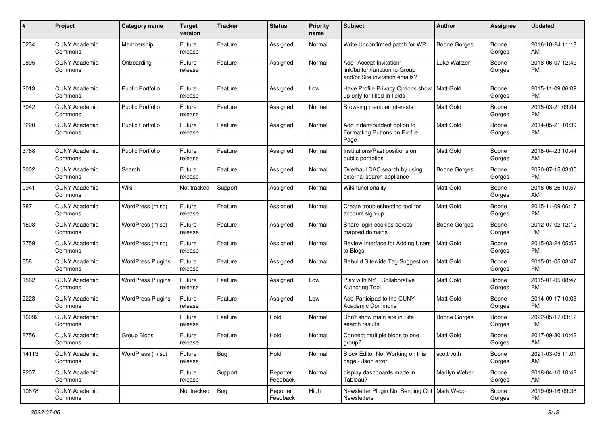| #     | Project                         | <b>Category name</b>     | <b>Target</b><br>version | <b>Tracker</b> | <b>Status</b>        | <b>Priority</b><br>name | Subject                                                                                    | Author              | Assignee        | <b>Updated</b>         |
|-------|---------------------------------|--------------------------|--------------------------|----------------|----------------------|-------------------------|--------------------------------------------------------------------------------------------|---------------------|-----------------|------------------------|
| 5234  | <b>CUNY Academic</b><br>Commons | Membership               | Future<br>release        | Feature        | Assigned             | Normal                  | Write Unconfirmed patch for WP                                                             | Boone Gorges        | Boone<br>Gorges | 2016-10-24 11:18<br>AM |
| 9895  | <b>CUNY Academic</b><br>Commons | Onboarding               | Future<br>release        | Feature        | Assigned             | Normal                  | Add "Accept Invitation"<br>link/button/function to Group<br>and/or Site invitation emails? | <b>Luke Waltzer</b> | Boone<br>Gorges | 2018-06-07 12:42<br>PM |
| 2013  | <b>CUNY Academic</b><br>Commons | <b>Public Portfolio</b>  | Future<br>release        | Feature        | Assigned             | Low                     | Have Profile Privacy Options show<br>up only for filled-in fields                          | Matt Gold           | Boone<br>Gorges | 2015-11-09 06:09<br>PM |
| 3042  | <b>CUNY Academic</b><br>Commons | <b>Public Portfolio</b>  | Future<br>release        | Feature        | Assigned             | Normal                  | Browsing member interests                                                                  | Matt Gold           | Boone<br>Gorges | 2015-03-21 09:04<br>PM |
| 3220  | <b>CUNY Academic</b><br>Commons | <b>Public Portfolio</b>  | Future<br>release        | Feature        | Assigned             | Normal                  | Add indent/outdent option to<br>Formatting Buttons on Profile<br>Page                      | <b>Matt Gold</b>    | Boone<br>Gorges | 2014-05-21 10:39<br>PM |
| 3768  | <b>CUNY Academic</b><br>Commons | <b>Public Portfolio</b>  | Future<br>release        | Feature        | Assigned             | Normal                  | Institutions/Past positions on<br>public portfolios                                        | Matt Gold           | Boone<br>Gorges | 2018-04-23 10:44<br>AM |
| 3002  | <b>CUNY Academic</b><br>Commons | Search                   | Future<br>release        | Feature        | Assigned             | Normal                  | Overhaul CAC search by using<br>external search appliance                                  | Boone Gorges        | Boone<br>Gorges | 2020-07-15 03:05<br>PM |
| 9941  | <b>CUNY Academic</b><br>Commons | Wiki                     | Not tracked              | Support        | Assigned             | Normal                  | Wiki functionality                                                                         | Matt Gold           | Boone<br>Gorges | 2018-06-26 10:57<br>AM |
| 287   | <b>CUNY Academic</b><br>Commons | WordPress (misc)         | Future<br>release        | Feature        | Assigned             | Normal                  | Create troubleshooting tool for<br>account sign-up                                         | Matt Gold           | Boone<br>Gorges | 2015-11-09 06:17<br>PM |
| 1508  | <b>CUNY Academic</b><br>Commons | WordPress (misc)         | Future<br>release        | Feature        | Assigned             | Normal                  | Share login cookies across<br>mapped domains                                               | Boone Gorges        | Boone<br>Gorges | 2012-07-02 12:12<br>PM |
| 3759  | <b>CUNY Academic</b><br>Commons | WordPress (misc)         | Future<br>release        | Feature        | Assigned             | Normal                  | Review Interface for Adding Users<br>to Blogs                                              | Matt Gold           | Boone<br>Gorges | 2015-03-24 05:52<br>PM |
| 658   | <b>CUNY Academic</b><br>Commons | <b>WordPress Plugins</b> | Future<br>release        | Feature        | Assigned             | Normal                  | Rebulid Sitewide Tag Suggestion                                                            | Matt Gold           | Boone<br>Gorges | 2015-01-05 08:47<br>PM |
| 1562  | <b>CUNY Academic</b><br>Commons | <b>WordPress Plugins</b> | Future<br>release        | Feature        | Assigned             | Low                     | Play with NYT Collaborative<br><b>Authoring Tool</b>                                       | Matt Gold           | Boone<br>Gorges | 2015-01-05 08:47<br>PM |
| 2223  | <b>CUNY Academic</b><br>Commons | <b>WordPress Plugins</b> | Future<br>release        | Feature        | Assigned             | Low                     | Add Participad to the CUNY<br><b>Academic Commons</b>                                      | Matt Gold           | Boone<br>Gorges | 2014-09-17 10:03<br>PM |
| 16092 | <b>CUNY Academic</b><br>Commons |                          | Future<br>release        | Feature        | Hold                 | Normal                  | Don't show main site in Site<br>search results                                             | Boone Gorges        | Boone<br>Gorges | 2022-05-17 03:12<br>PM |
| 8756  | <b>CUNY Academic</b><br>Commons | Group Blogs              | Future<br>release        | Feature        | Hold                 | Normal                  | Connect multiple blogs to one<br>group?                                                    | <b>Matt Gold</b>    | Boone<br>Gorges | 2017-09-30 10:42<br>AM |
| 14113 | <b>CUNY Academic</b><br>Commons | WordPress (misc)         | Future<br>release        | <b>Bug</b>     | Hold                 | Normal                  | Block Editor Not Working on this<br>page - Json error                                      | scott voth          | Boone<br>Gorges | 2021-03-05 11:01<br>AM |
| 9207  | <b>CUNY Academic</b><br>Commons |                          | Future<br>release        | Support        | Reporter<br>Feedback | Normal                  | display dashboards made in<br>Tableau?                                                     | Marilyn Weber       | Boone<br>Gorges | 2018-04-10 10:42<br>AM |
| 10678 | <b>CUNY Academic</b><br>Commons |                          | Not tracked              | Bug            | Reporter<br>Feedback | High                    | Newsletter Plugin Not Sending Out   Mark Webb<br>Newsletters                               |                     | Boone<br>Gorges | 2019-09-16 09:38<br>PM |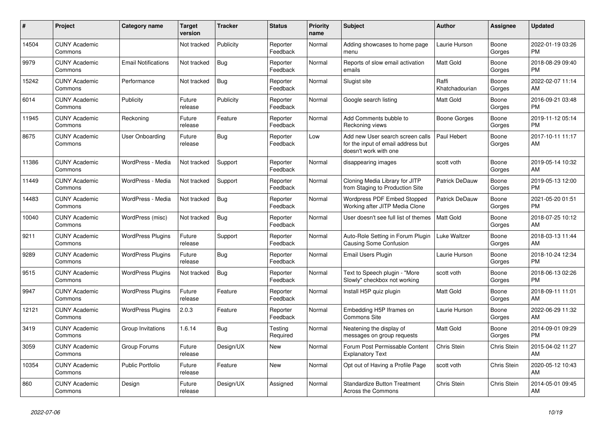| #     | Project                         | <b>Category name</b>       | <b>Target</b><br>version | <b>Tracker</b> | <b>Status</b>        | <b>Priority</b><br>name | <b>Subject</b>                                                                                  | <b>Author</b>           | Assignee        | <b>Updated</b>                |
|-------|---------------------------------|----------------------------|--------------------------|----------------|----------------------|-------------------------|-------------------------------------------------------------------------------------------------|-------------------------|-----------------|-------------------------------|
| 14504 | <b>CUNY Academic</b><br>Commons |                            | Not tracked              | Publicity      | Reporter<br>Feedback | Normal                  | Adding showcases to home page<br>menu                                                           | Laurie Hurson           | Boone<br>Gorges | 2022-01-19 03:26<br><b>PM</b> |
| 9979  | <b>CUNY Academic</b><br>Commons | <b>Email Notifications</b> | Not tracked              | Bug            | Reporter<br>Feedback | Normal                  | Reports of slow email activation<br>emails                                                      | Matt Gold               | Boone<br>Gorges | 2018-08-29 09:40<br><b>PM</b> |
| 15242 | <b>CUNY Academic</b><br>Commons | Performance                | Not tracked              | <b>Bug</b>     | Reporter<br>Feedback | Normal                  | Slugist site                                                                                    | Raffi<br>Khatchadourian | Boone<br>Gorges | 2022-02-07 11:14<br>AM        |
| 6014  | <b>CUNY Academic</b><br>Commons | Publicity                  | Future<br>release        | Publicity      | Reporter<br>Feedback | Normal                  | Google search listing                                                                           | Matt Gold               | Boone<br>Gorges | 2016-09-21 03:48<br><b>PM</b> |
| 11945 | <b>CUNY Academic</b><br>Commons | Reckoning                  | Future<br>release        | Feature        | Reporter<br>Feedback | Normal                  | Add Comments bubble to<br>Reckoning views                                                       | Boone Gorges            | Boone<br>Gorges | 2019-11-12 05:14<br><b>PM</b> |
| 8675  | <b>CUNY Academic</b><br>Commons | <b>User Onboarding</b>     | Future<br>release        | <b>Bug</b>     | Reporter<br>Feedback | Low                     | Add new User search screen calls<br>for the input of email address but<br>doesn't work with one | Paul Hebert             | Boone<br>Gorges | 2017-10-11 11:17<br>AM        |
| 11386 | <b>CUNY Academic</b><br>Commons | WordPress - Media          | Not tracked              | Support        | Reporter<br>Feedback | Normal                  | disappearing images                                                                             | scott voth              | Boone<br>Gorges | 2019-05-14 10:32<br>AM        |
| 11449 | <b>CUNY Academic</b><br>Commons | WordPress - Media          | Not tracked              | Support        | Reporter<br>Feedback | Normal                  | Cloning Media Library for JITP<br>from Staging to Production Site                               | <b>Patrick DeDauw</b>   | Boone<br>Gorges | 2019-05-13 12:00<br><b>PM</b> |
| 14483 | <b>CUNY Academic</b><br>Commons | WordPress - Media          | Not tracked              | Bug            | Reporter<br>Feedback | Normal                  | <b>Wordpress PDF Embed Stopped</b><br>Working after JITP Media Clone                            | Patrick DeDauw          | Boone<br>Gorges | 2021-05-20 01:51<br><b>PM</b> |
| 10040 | <b>CUNY Academic</b><br>Commons | WordPress (misc)           | Not tracked              | <b>Bug</b>     | Reporter<br>Feedback | Normal                  | User doesn't see full list of themes                                                            | <b>Matt Gold</b>        | Boone<br>Gorges | 2018-07-25 10:12<br>AM        |
| 9211  | <b>CUNY Academic</b><br>Commons | <b>WordPress Plugins</b>   | Future<br>release        | Support        | Reporter<br>Feedback | Normal                  | Auto-Role Setting in Forum Plugin<br><b>Causing Some Confusion</b>                              | Luke Waltzer            | Boone<br>Gorges | 2018-03-13 11:44<br>AM        |
| 9289  | <b>CUNY Academic</b><br>Commons | <b>WordPress Plugins</b>   | Future<br>release        | Bug            | Reporter<br>Feedback | Normal                  | Email Users Plugin                                                                              | Laurie Hurson           | Boone<br>Gorges | 2018-10-24 12:34<br><b>PM</b> |
| 9515  | <b>CUNY Academic</b><br>Commons | <b>WordPress Plugins</b>   | Not tracked              | <b>Bug</b>     | Reporter<br>Feedback | Normal                  | Text to Speech plugin - "More<br>Slowly" checkbox not working                                   | scott voth              | Boone<br>Gorges | 2018-06-13 02:26<br><b>PM</b> |
| 9947  | <b>CUNY Academic</b><br>Commons | <b>WordPress Plugins</b>   | Future<br>release        | Feature        | Reporter<br>Feedback | Normal                  | Install H5P quiz plugin                                                                         | Matt Gold               | Boone<br>Gorges | 2018-09-11 11:01<br>AM        |
| 12121 | <b>CUNY Academic</b><br>Commons | <b>WordPress Plugins</b>   | 2.0.3                    | Feature        | Reporter<br>Feedback | Normal                  | Embedding H5P Iframes on<br><b>Commons Site</b>                                                 | Laurie Hurson           | Boone<br>Gorges | 2022-06-29 11:32<br>AM        |
| 3419  | <b>CUNY Academic</b><br>Commons | Group Invitations          | 1.6.14                   | <b>Bug</b>     | Testing<br>Required  | Normal                  | Neatening the display of<br>messages on group requests                                          | <b>Matt Gold</b>        | Boone<br>Gorges | 2014-09-01 09:29<br><b>PM</b> |
| 3059  | <b>CUNY Academic</b><br>Commons | Group Forums               | Future<br>release        | Design/UX      | New                  | Normal                  | Forum Post Permissable Content<br><b>Explanatory Text</b>                                       | Chris Stein             | Chris Stein     | 2015-04-02 11:27<br>AM        |
| 10354 | <b>CUNY Academic</b><br>Commons | <b>Public Portfolio</b>    | Future<br>release        | Feature        | New                  | Normal                  | Opt out of Having a Profile Page                                                                | scott voth              | Chris Stein     | 2020-05-12 10:43<br>AM        |
| 860   | <b>CUNY Academic</b><br>Commons | Design                     | Future<br>release        | Design/UX      | Assigned             | Normal                  | <b>Standardize Button Treatment</b><br>Across the Commons                                       | Chris Stein             | Chris Stein     | 2014-05-01 09:45<br>AM        |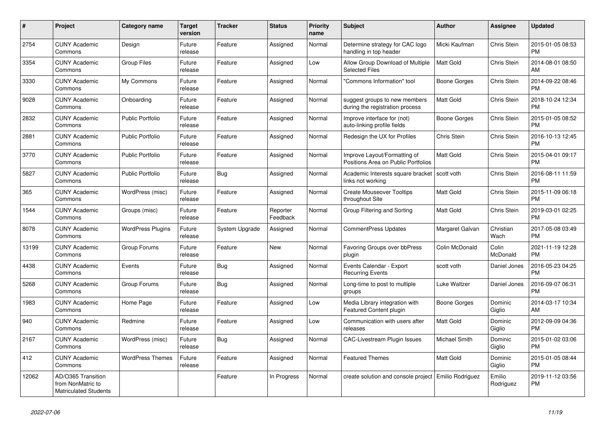| #     | Project                                                                 | <b>Category name</b>     | <b>Target</b><br>version | <b>Tracker</b> | <b>Status</b>        | <b>Priority</b><br>name | <b>Subject</b>                                                      | <b>Author</b>    | Assignee                 | <b>Updated</b>                |
|-------|-------------------------------------------------------------------------|--------------------------|--------------------------|----------------|----------------------|-------------------------|---------------------------------------------------------------------|------------------|--------------------------|-------------------------------|
| 2754  | <b>CUNY Academic</b><br>Commons                                         | Design                   | Future<br>release        | Feature        | Assigned             | Normal                  | Determine strategy for CAC logo<br>handling in top header           | Micki Kaufman    | <b>Chris Stein</b>       | 2015-01-05 08:53<br><b>PM</b> |
| 3354  | <b>CUNY Academic</b><br>Commons                                         | <b>Group Files</b>       | Future<br>release        | Feature        | Assigned             | Low                     | Allow Group Download of Multiple<br><b>Selected Files</b>           | <b>Matt Gold</b> | Chris Stein              | 2014-08-01 08:50<br>AM        |
| 3330  | <b>CUNY Academic</b><br>Commons                                         | My Commons               | Future<br>release        | Feature        | Assigned             | Normal                  | "Commons Information" tool                                          | Boone Gorges     | Chris Stein              | 2014-09-22 08:46<br><b>PM</b> |
| 9028  | <b>CUNY Academic</b><br>Commons                                         | Onboarding               | Future<br>release        | Feature        | Assigned             | Normal                  | suggest groups to new members<br>during the registration process    | <b>Matt Gold</b> | Chris Stein              | 2018-10-24 12:34<br><b>PM</b> |
| 2832  | <b>CUNY Academic</b><br>Commons                                         | <b>Public Portfolio</b>  | Future<br>release        | Feature        | Assigned             | Normal                  | Improve interface for (not)<br>auto-linking profile fields          | Boone Gorges     | Chris Stein              | 2015-01-05 08:52<br><b>PM</b> |
| 2881  | <b>CUNY Academic</b><br>Commons                                         | <b>Public Portfolio</b>  | Future<br>release        | Feature        | Assigned             | Normal                  | Redesign the UX for Profiles                                        | Chris Stein      | Chris Stein              | 2016-10-13 12:45<br><b>PM</b> |
| 3770  | <b>CUNY Academic</b><br>Commons                                         | Public Portfolio         | Future<br>release        | Feature        | Assigned             | Normal                  | Improve Layout/Formatting of<br>Positions Area on Public Portfolios | <b>Matt Gold</b> | Chris Stein              | 2015-04-01 09:17<br><b>PM</b> |
| 5827  | <b>CUNY Academic</b><br>Commons                                         | <b>Public Portfolio</b>  | Future<br>release        | Bug            | Assigned             | Normal                  | Academic Interests square bracket<br>links not working              | scott voth       | Chris Stein              | 2016-08-11 11:59<br><b>PM</b> |
| 365   | <b>CUNY Academic</b><br>Commons                                         | WordPress (misc)         | Future<br>release        | Feature        | Assigned             | Normal                  | <b>Create Mouseover Tooltips</b><br>throughout Site                 | Matt Gold        | Chris Stein              | 2015-11-09 06:18<br><b>PM</b> |
| 1544  | <b>CUNY Academic</b><br>Commons                                         | Groups (misc)            | Future<br>release        | Feature        | Reporter<br>Feedback | Normal                  | Group Filtering and Sorting                                         | <b>Matt Gold</b> | Chris Stein              | 2019-03-01 02:25<br><b>PM</b> |
| 8078  | <b>CUNY Academic</b><br>Commons                                         | <b>WordPress Plugins</b> | Future<br>release        | System Upgrade | Assigned             | Normal                  | CommentPress Updates                                                | Margaret Galvan  | Christian<br>Wach        | 2017-05-08 03:49<br><b>PM</b> |
| 13199 | <b>CUNY Academic</b><br>Commons                                         | Group Forums             | Future<br>release        | Feature        | New                  | Normal                  | Favoring Groups over bbPress<br>plugin                              | Colin McDonald   | Colin<br><b>McDonald</b> | 2021-11-19 12:28<br><b>PM</b> |
| 4438  | <b>CUNY Academic</b><br>Commons                                         | Events                   | Future<br>release        | <b>Bug</b>     | Assigned             | Normal                  | Events Calendar - Export<br><b>Recurring Events</b>                 | scott voth       | Daniel Jones             | 2016-05-23 04:25<br><b>PM</b> |
| 5268  | <b>CUNY Academic</b><br>Commons                                         | Group Forums             | Future<br>release        | <b>Bug</b>     | Assigned             | Normal                  | Long-time to post to multiple<br>groups                             | Luke Waltzer     | Daniel Jones             | 2016-09-07 06:31<br><b>PM</b> |
| 1983  | <b>CUNY Academic</b><br>Commons                                         | Home Page                | Future<br>release        | Feature        | Assigned             | Low                     | Media Library integration with<br><b>Featured Content plugin</b>    | Boone Gorges     | Dominic<br>Giglio        | 2014-03-17 10:34<br>AM        |
| 940   | <b>CUNY Academic</b><br>Commons                                         | Redmine                  | Future<br>release        | Feature        | Assigned             | Low                     | Communication with users after<br>releases                          | <b>Matt Gold</b> | Dominic<br>Giglio        | 2012-09-09 04:36<br><b>PM</b> |
| 2167  | <b>CUNY Academic</b><br>Commons                                         | WordPress (misc)         | Future<br>release        | Bug            | Assigned             | Normal                  | <b>CAC-Livestream Plugin Issues</b>                                 | Michael Smith    | Dominic<br>Giglio        | 2015-01-02 03:06<br><b>PM</b> |
| 412   | <b>CUNY Academic</b><br>Commons                                         | <b>WordPress Themes</b>  | Future<br>release        | Feature        | Assigned             | Normal                  | <b>Featured Themes</b>                                              | Matt Gold        | Dominic<br>Giglio        | 2015-01-05 08:44<br><b>PM</b> |
| 12062 | AD/O365 Transition<br>from NonMatric to<br><b>Matriculated Students</b> |                          |                          | Feature        | In Progress          | Normal                  | create solution and console project   Emilio Rodriguez              |                  | Emilio<br>Rodriguez      | 2019-11-12 03:56<br><b>PM</b> |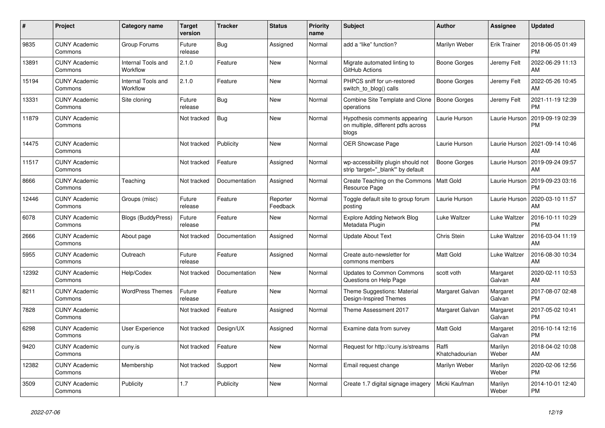| #     | <b>Project</b>                  | <b>Category name</b>           | <b>Target</b><br>version | <b>Tracker</b> | <b>Status</b>        | <b>Priority</b><br>name | <b>Subject</b>                                                               | <b>Author</b>           | Assignee            | <b>Updated</b>                |
|-------|---------------------------------|--------------------------------|--------------------------|----------------|----------------------|-------------------------|------------------------------------------------------------------------------|-------------------------|---------------------|-------------------------------|
| 9835  | <b>CUNY Academic</b><br>Commons | Group Forums                   | Future<br>release        | Bug            | Assigned             | Normal                  | add a "like" function?                                                       | Marilyn Weber           | <b>Erik Trainer</b> | 2018-06-05 01:49<br><b>PM</b> |
| 13891 | <b>CUNY Academic</b><br>Commons | Internal Tools and<br>Workflow | 2.1.0                    | Feature        | <b>New</b>           | Normal                  | Migrate automated linting to<br>GitHub Actions                               | Boone Gorges            | Jeremy Felt         | 2022-06-29 11:13<br>AM        |
| 15194 | <b>CUNY Academic</b><br>Commons | Internal Tools and<br>Workflow | 2.1.0                    | Feature        | <b>New</b>           | Normal                  | PHPCS sniff for un-restored<br>switch to blog() calls                        | Boone Gorges            | Jeremy Felt         | 2022-05-26 10:45<br>AM        |
| 13331 | <b>CUNY Academic</b><br>Commons | Site cloning                   | Future<br>release        | Bug            | <b>New</b>           | Normal                  | Combine Site Template and Clone<br>operations                                | Boone Gorges            | Jeremy Felt         | 2021-11-19 12:39<br><b>PM</b> |
| 11879 | <b>CUNY Academic</b><br>Commons |                                | Not tracked              | Bug            | <b>New</b>           | Normal                  | Hypothesis comments appearing<br>on multiple, different pdfs across<br>blogs | Laurie Hurson           | Laurie Hurson       | 2019-09-19 02:39<br><b>PM</b> |
| 14475 | <b>CUNY Academic</b><br>Commons |                                | Not tracked              | Publicity      | <b>New</b>           | Normal                  | <b>OER Showcase Page</b>                                                     | Laurie Hurson           | Laurie Hurson       | 2021-09-14 10:46<br>AM        |
| 11517 | <b>CUNY Academic</b><br>Commons |                                | Not tracked              | Feature        | Assigned             | Normal                  | wp-accessibility plugin should not<br>strip 'target=" blank" by default      | Boone Gorges            | Laurie Hurson       | 2019-09-24 09:57<br>AM        |
| 8666  | <b>CUNY Academic</b><br>Commons | Teaching                       | Not tracked              | Documentation  | Assigned             | Normal                  | Create Teaching on the Commons<br>Resource Page                              | <b>Matt Gold</b>        | Laurie Hurson       | 2019-09-23 03:16<br><b>PM</b> |
| 12446 | <b>CUNY Academic</b><br>Commons | Groups (misc)                  | Future<br>release        | Feature        | Reporter<br>Feedback | Normal                  | Toggle default site to group forum<br>posting                                | Laurie Hurson           | Laurie Hurson       | 2020-03-10 11:57<br>AM        |
| 6078  | <b>CUNY Academic</b><br>Commons | <b>Blogs (BuddyPress)</b>      | Future<br>release        | Feature        | New                  | Normal                  | <b>Explore Adding Network Blog</b><br>Metadata Plugin                        | Luke Waltzer            | Luke Waltzer        | 2016-10-11 10:29<br><b>PM</b> |
| 2666  | <b>CUNY Academic</b><br>Commons | About page                     | Not tracked              | Documentation  | Assigned             | Normal                  | <b>Update About Text</b>                                                     | Chris Stein             | Luke Waltzer        | 2016-03-04 11:19<br>AM        |
| 5955  | <b>CUNY Academic</b><br>Commons | Outreach                       | Future<br>release        | Feature        | Assigned             | Normal                  | Create auto-newsletter for<br>commons members                                | <b>Matt Gold</b>        | Luke Waltzer        | 2016-08-30 10:34<br>AM        |
| 12392 | <b>CUNY Academic</b><br>Commons | Help/Codex                     | Not tracked              | Documentation  | <b>New</b>           | Normal                  | <b>Updates to Common Commons</b><br>Questions on Help Page                   | scott voth              | Margaret<br>Galvan  | 2020-02-11 10:53<br>AM        |
| 8211  | <b>CUNY Academic</b><br>Commons | <b>WordPress Themes</b>        | Future<br>release        | Feature        | New                  | Normal                  | Theme Suggestions: Material<br>Design-Inspired Themes                        | Margaret Galvan         | Margaret<br>Galvan  | 2017-08-07 02:48<br><b>PM</b> |
| 7828  | <b>CUNY Academic</b><br>Commons |                                | Not tracked              | Feature        | Assigned             | Normal                  | Theme Assessment 2017                                                        | Margaret Galvan         | Margaret<br>Galvan  | 2017-05-02 10:41<br><b>PM</b> |
| 6298  | <b>CUNY Academic</b><br>Commons | User Experience                | Not tracked              | Design/UX      | Assigned             | Normal                  | Examine data from survey                                                     | <b>Matt Gold</b>        | Margaret<br>Galvan  | 2016-10-14 12:16<br><b>PM</b> |
| 9420  | <b>CUNY Academic</b><br>Commons | cuny.is                        | Not tracked              | Feature        | New                  | Normal                  | Request for http://cuny.is/streams                                           | Raffi<br>Khatchadourian | Marilyn<br>Weber    | 2018-04-02 10:08<br>AM        |
| 12382 | <b>CUNY Academic</b><br>Commons | Membership                     | Not tracked              | Support        | New                  | Normal                  | Email request change                                                         | Marilyn Weber           | Marilyn<br>Weber    | 2020-02-06 12:56<br><b>PM</b> |
| 3509  | <b>CUNY Academic</b><br>Commons | Publicity                      | 1.7                      | Publicity      | <b>New</b>           | Normal                  | Create 1.7 digital signage imagery                                           | Micki Kaufman           | Marilyn<br>Weber    | 2014-10-01 12:40<br><b>PM</b> |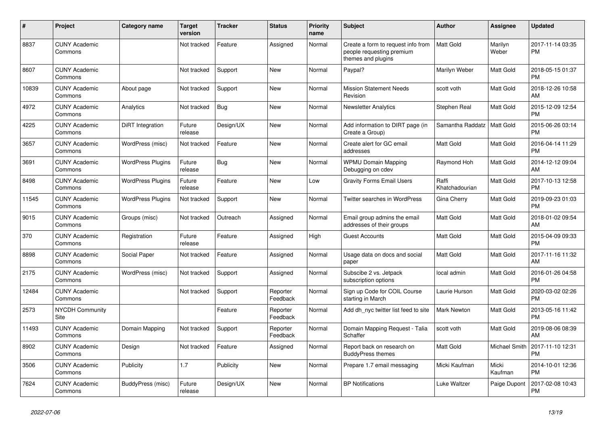| #     | Project                         | <b>Category name</b>     | <b>Target</b><br>version | <b>Tracker</b> | <b>Status</b>        | <b>Priority</b><br>name | <b>Subject</b>                                                                        | <b>Author</b>           | <b>Assignee</b>  | <b>Updated</b>                |
|-------|---------------------------------|--------------------------|--------------------------|----------------|----------------------|-------------------------|---------------------------------------------------------------------------------------|-------------------------|------------------|-------------------------------|
| 8837  | <b>CUNY Academic</b><br>Commons |                          | Not tracked              | Feature        | Assigned             | Normal                  | Create a form to request info from<br>people requesting premium<br>themes and plugins | <b>Matt Gold</b>        | Marilyn<br>Weber | 2017-11-14 03:35<br><b>PM</b> |
| 8607  | <b>CUNY Academic</b><br>Commons |                          | Not tracked              | Support        | <b>New</b>           | Normal                  | Paypal?                                                                               | Marilyn Weber           | Matt Gold        | 2018-05-15 01:37<br><b>PM</b> |
| 10839 | <b>CUNY Academic</b><br>Commons | About page               | Not tracked              | Support        | <b>New</b>           | Normal                  | <b>Mission Statement Needs</b><br>Revision                                            | scott voth              | Matt Gold        | 2018-12-26 10:58<br>AM        |
| 4972  | <b>CUNY Academic</b><br>Commons | Analytics                | Not tracked              | Bug            | New                  | Normal                  | <b>Newsletter Analytics</b>                                                           | Stephen Real            | Matt Gold        | 2015-12-09 12:54<br><b>PM</b> |
| 4225  | <b>CUNY Academic</b><br>Commons | DiRT Integration         | Future<br>release        | Design/UX      | <b>New</b>           | Normal                  | Add information to DIRT page (in<br>Create a Group)                                   | Samantha Raddatz        | Matt Gold        | 2015-06-26 03:14<br><b>PM</b> |
| 3657  | <b>CUNY Academic</b><br>Commons | WordPress (misc)         | Not tracked              | Feature        | <b>New</b>           | Normal                  | Create alert for GC email<br>addresses                                                | <b>Matt Gold</b>        | Matt Gold        | 2016-04-14 11:29<br><b>PM</b> |
| 3691  | <b>CUNY Academic</b><br>Commons | <b>WordPress Plugins</b> | Future<br>release        | <b>Bug</b>     | New                  | Normal                  | <b>WPMU Domain Mapping</b><br>Debugging on cdev                                       | Raymond Hoh             | Matt Gold        | 2014-12-12 09:04<br>AM        |
| 8498  | <b>CUNY Academic</b><br>Commons | <b>WordPress Plugins</b> | Future<br>release        | Feature        | <b>New</b>           | Low                     | <b>Gravity Forms Email Users</b>                                                      | Raffi<br>Khatchadourian | Matt Gold        | 2017-10-13 12:58<br><b>PM</b> |
| 11545 | <b>CUNY Academic</b><br>Commons | <b>WordPress Plugins</b> | Not tracked              | Support        | <b>New</b>           | Normal                  | Twitter searches in WordPress                                                         | Gina Cherry             | Matt Gold        | 2019-09-23 01:03<br><b>PM</b> |
| 9015  | <b>CUNY Academic</b><br>Commons | Groups (misc)            | Not tracked              | Outreach       | Assigned             | Normal                  | Email group admins the email<br>addresses of their groups                             | <b>Matt Gold</b>        | Matt Gold        | 2018-01-02 09:54<br>AM        |
| 370   | <b>CUNY Academic</b><br>Commons | Registration             | Future<br>release        | Feature        | Assigned             | High                    | <b>Guest Accounts</b>                                                                 | <b>Matt Gold</b>        | Matt Gold        | 2015-04-09 09:33<br><b>PM</b> |
| 8898  | <b>CUNY Academic</b><br>Commons | Social Paper             | Not tracked              | Feature        | Assigned             | Normal                  | Usage data on docs and social<br>paper                                                | <b>Matt Gold</b>        | Matt Gold        | 2017-11-16 11:32<br>AM        |
| 2175  | <b>CUNY Academic</b><br>Commons | WordPress (misc)         | Not tracked              | Support        | Assigned             | Normal                  | Subscibe 2 vs. Jetpack<br>subscription options                                        | local admin             | Matt Gold        | 2016-01-26 04:58<br><b>PM</b> |
| 12484 | <b>CUNY Academic</b><br>Commons |                          | Not tracked              | Support        | Reporter<br>Feedback | Normal                  | Sign up Code for COIL Course<br>starting in March                                     | Laurie Hurson           | Matt Gold        | 2020-03-02 02:26<br><b>PM</b> |
| 2573  | <b>NYCDH Community</b><br>Site  |                          |                          | Feature        | Reporter<br>Feedback | Normal                  | Add dh nyc twitter list feed to site                                                  | Mark Newton             | Matt Gold        | 2013-05-16 11:42<br><b>PM</b> |
| 11493 | <b>CUNY Academic</b><br>Commons | Domain Mapping           | Not tracked              | Support        | Reporter<br>Feedback | Normal                  | Domain Mapping Request - Talia<br>Schaffer                                            | scott voth              | Matt Gold        | 2019-08-06 08:39<br>AM        |
| 8902  | <b>CUNY Academic</b><br>Commons | Design                   | Not tracked              | Feature        | Assigned             | Normal                  | Report back on research on<br><b>BuddyPress themes</b>                                | <b>Matt Gold</b>        | Michael Smith    | 2017-11-10 12:31<br><b>PM</b> |
| 3506  | <b>CUNY Academic</b><br>Commons | Publicity                | 1.7                      | Publicity      | New                  | Normal                  | Prepare 1.7 email messaging                                                           | Micki Kaufman           | Micki<br>Kaufman | 2014-10-01 12:36<br><b>PM</b> |
| 7624  | <b>CUNY Academic</b><br>Commons | BuddyPress (misc)        | Future<br>release        | Design/UX      | <b>New</b>           | Normal                  | <b>BP Notifications</b>                                                               | Luke Waltzer            | Paige Dupont     | 2017-02-08 10:43<br><b>PM</b> |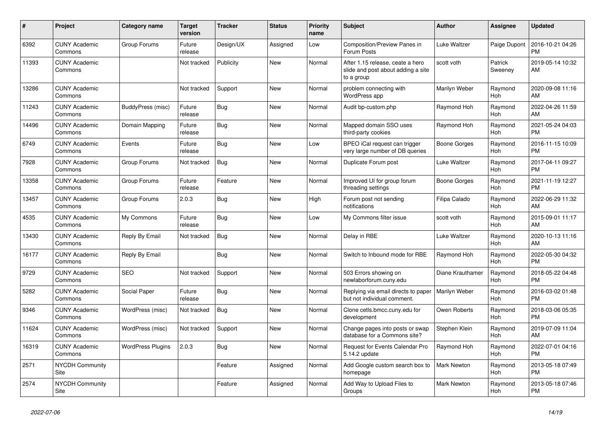| $\#$  | Project                         | <b>Category name</b>     | <b>Target</b><br>version | <b>Tracker</b> | <b>Status</b> | <b>Priority</b><br>name | <b>Subject</b>                                                                       | Author             | Assignee           | <b>Updated</b>                |
|-------|---------------------------------|--------------------------|--------------------------|----------------|---------------|-------------------------|--------------------------------------------------------------------------------------|--------------------|--------------------|-------------------------------|
| 6392  | <b>CUNY Academic</b><br>Commons | Group Forums             | Future<br>release        | Design/UX      | Assigned      | Low                     | Composition/Preview Panes in<br>Forum Posts                                          | Luke Waltzer       | Paige Dupont       | 2016-10-21 04:26<br><b>PM</b> |
| 11393 | <b>CUNY Academic</b><br>Commons |                          | Not tracked              | Publicity      | <b>New</b>    | Normal                  | After 1.15 release, ceate a hero<br>slide and post about adding a site<br>to a group | scott voth         | Patrick<br>Sweeney | 2019-05-14 10:32<br>AM        |
| 13286 | <b>CUNY Academic</b><br>Commons |                          | Not tracked              | Support        | <b>New</b>    | Normal                  | problem connecting with<br><b>WordPress app</b>                                      | Marilyn Weber      | Raymond<br>Hoh     | 2020-09-08 11:16<br>AM        |
| 11243 | <b>CUNY Academic</b><br>Commons | BuddyPress (misc)        | Future<br>release        | Bug            | <b>New</b>    | Normal                  | Audit bp-custom.php                                                                  | Raymond Hoh        | Raymond<br>Hoh     | 2022-04-26 11:59<br>AM        |
| 14496 | <b>CUNY Academic</b><br>Commons | Domain Mapping           | Future<br>release        | Bug            | New           | Normal                  | Mapped domain SSO uses<br>third-party cookies                                        | Raymond Hoh        | Raymond<br>Hoh     | 2021-05-24 04:03<br><b>PM</b> |
| 6749  | <b>CUNY Academic</b><br>Commons | Events                   | Future<br>release        | Bug            | New           | Low                     | BPEO iCal request can trigger<br>very large number of DB queries                     | Boone Gorges       | Raymond<br>Hoh     | 2016-11-15 10:09<br><b>PM</b> |
| 7928  | <b>CUNY Academic</b><br>Commons | Group Forums             | Not tracked              | Bug            | <b>New</b>    | Normal                  | Duplicate Forum post                                                                 | Luke Waltzer       | Raymond<br>Hoh     | 2017-04-11 09:27<br><b>PM</b> |
| 13358 | <b>CUNY Academic</b><br>Commons | Group Forums             | Future<br>release        | Feature        | <b>New</b>    | Normal                  | Improved UI for group forum<br>threading settings                                    | Boone Gorges       | Raymond<br>Hoh     | 2021-11-19 12:27<br><b>PM</b> |
| 13457 | <b>CUNY Academic</b><br>Commons | Group Forums             | 2.0.3                    | <b>Bug</b>     | <b>New</b>    | High                    | Forum post not sending<br>notifications                                              | Filipa Calado      | Raymond<br>Hoh     | 2022-06-29 11:32<br>AM        |
| 4535  | <b>CUNY Academic</b><br>Commons | My Commons               | Future<br>release        | Bug            | <b>New</b>    | Low                     | My Commons filter issue                                                              | scott voth         | Raymond<br>Hoh     | 2015-09-01 11:17<br>AM        |
| 13430 | <b>CUNY Academic</b><br>Commons | Reply By Email           | Not tracked              | Bug            | New           | Normal                  | Delay in RBE                                                                         | Luke Waltzer       | Raymond<br>Hoh     | 2020-10-13 11:16<br>AM        |
| 16177 | <b>CUNY Academic</b><br>Commons | Reply By Email           |                          | <b>Bug</b>     | <b>New</b>    | Normal                  | Switch to Inbound mode for RBE                                                       | Raymond Hoh        | Raymond<br>Hoh     | 2022-05-30 04:32<br><b>PM</b> |
| 9729  | <b>CUNY Academic</b><br>Commons | <b>SEO</b>               | Not tracked              | Support        | <b>New</b>    | Normal                  | 503 Errors showing on<br>newlaborforum.cuny.edu                                      | Diane Krauthamer   | Raymond<br>Hoh     | 2018-05-22 04:48<br><b>PM</b> |
| 5282  | <b>CUNY Academic</b><br>Commons | Social Paper             | Future<br>release        | <b>Bug</b>     | New           | Normal                  | Replying via email directs to paper<br>but not individual comment.                   | Marilyn Weber      | Raymond<br>Hoh     | 2016-03-02 01:48<br><b>PM</b> |
| 9346  | <b>CUNY Academic</b><br>Commons | WordPress (misc)         | Not tracked              | <b>Bug</b>     | <b>New</b>    | Normal                  | Clone cetls.bmcc.cuny.edu for<br>development                                         | Owen Roberts       | Raymond<br>Hoh     | 2018-03-06 05:35<br><b>PM</b> |
| 11624 | <b>CUNY Academic</b><br>Commons | WordPress (misc)         | Not tracked              | Support        | <b>New</b>    | Normal                  | Change pages into posts or swap<br>database for a Commons site?                      | Stephen Klein      | Raymond<br>Hoh     | 2019-07-09 11:04<br>AM        |
| 16319 | <b>CUNY Academic</b><br>Commons | <b>WordPress Plugins</b> | 2.0.3                    | Bug            | <b>New</b>    | Normal                  | Request for Events Calendar Pro<br>5.14.2 update                                     | Raymond Hoh        | Raymond<br>Hoh     | 2022-07-01 04:16<br><b>PM</b> |
| 2571  | <b>NYCDH Community</b><br>Site  |                          |                          | Feature        | Assigned      | Normal                  | Add Google custom search box to<br>homepage                                          | <b>Mark Newton</b> | Raymond<br>Hoh     | 2013-05-18 07:49<br><b>PM</b> |
| 2574  | NYCDH Community<br>Site         |                          |                          | Feature        | Assigned      | Normal                  | Add Way to Upload Files to<br>Groups                                                 | <b>Mark Newton</b> | Raymond<br>Hoh     | 2013-05-18 07:46<br><b>PM</b> |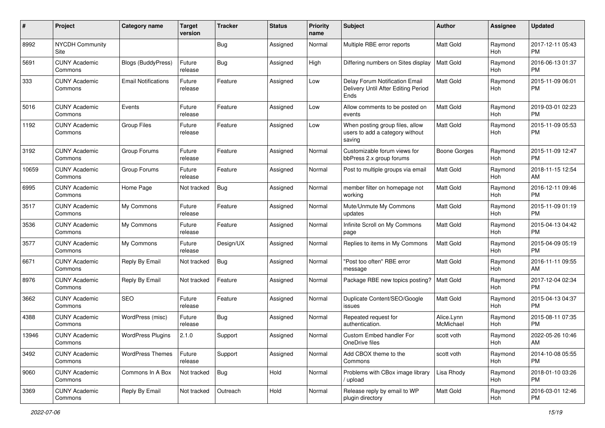| #     | Project                         | <b>Category name</b>       | <b>Target</b><br>version | <b>Tracker</b> | <b>Status</b> | Priority<br>name | <b>Subject</b>                                                                | Author                  | <b>Assignee</b> | <b>Updated</b>                |
|-------|---------------------------------|----------------------------|--------------------------|----------------|---------------|------------------|-------------------------------------------------------------------------------|-------------------------|-----------------|-------------------------------|
| 8992  | <b>NYCDH Community</b><br>Site  |                            |                          | <b>Bug</b>     | Assigned      | Normal           | Multiple RBE error reports                                                    | <b>Matt Gold</b>        | Raymond<br>Hoh  | 2017-12-11 05:43<br><b>PM</b> |
| 5691  | <b>CUNY Academic</b><br>Commons | <b>Blogs (BuddyPress)</b>  | Future<br>release        | <b>Bug</b>     | Assigned      | High             | Differing numbers on Sites display                                            | Matt Gold               | Raymond<br>Hoh  | 2016-06-13 01:37<br><b>PM</b> |
| 333   | <b>CUNY Academic</b><br>Commons | <b>Email Notifications</b> | Future<br>release        | Feature        | Assigned      | Low              | Delay Forum Notification Email<br>Delivery Until After Editing Period<br>Ends | Matt Gold               | Raymond<br>Hoh  | 2015-11-09 06:01<br>PM        |
| 5016  | <b>CUNY Academic</b><br>Commons | Events                     | Future<br>release        | Feature        | Assigned      | Low              | Allow comments to be posted on<br>events                                      | Matt Gold               | Raymond<br>Hoh  | 2019-03-01 02:23<br><b>PM</b> |
| 1192  | <b>CUNY Academic</b><br>Commons | <b>Group Files</b>         | Future<br>release        | Feature        | Assigned      | Low              | When posting group files, allow<br>users to add a category without<br>saving  | <b>Matt Gold</b>        | Raymond<br>Hoh  | 2015-11-09 05:53<br>PM        |
| 3192  | <b>CUNY Academic</b><br>Commons | Group Forums               | Future<br>release        | Feature        | Assigned      | Normal           | Customizable forum views for<br>bbPress 2.x group forums                      | Boone Gorges            | Raymond<br>Hoh  | 2015-11-09 12:47<br><b>PM</b> |
| 10659 | <b>CUNY Academic</b><br>Commons | Group Forums               | Future<br>release        | Feature        | Assigned      | Normal           | Post to multiple groups via email                                             | Matt Gold               | Raymond<br>Hoh  | 2018-11-15 12:54<br>AM        |
| 6995  | <b>CUNY Academic</b><br>Commons | Home Page                  | Not tracked              | Bug            | Assigned      | Normal           | member filter on homepage not<br>workina                                      | <b>Matt Gold</b>        | Raymond<br>Hoh  | 2016-12-11 09:46<br><b>PM</b> |
| 3517  | <b>CUNY Academic</b><br>Commons | My Commons                 | Future<br>release        | Feature        | Assigned      | Normal           | Mute/Unmute My Commons<br>updates                                             | <b>Matt Gold</b>        | Raymond<br>Hoh  | 2015-11-09 01:19<br><b>PM</b> |
| 3536  | <b>CUNY Academic</b><br>Commons | My Commons                 | Future<br>release        | Feature        | Assigned      | Normal           | Infinite Scroll on My Commons<br>page                                         | Matt Gold               | Raymond<br>Hoh  | 2015-04-13 04:42<br><b>PM</b> |
| 3577  | <b>CUNY Academic</b><br>Commons | My Commons                 | Future<br>release        | Design/UX      | Assigned      | Normal           | Replies to items in My Commons                                                | <b>Matt Gold</b>        | Raymond<br>Hoh  | 2015-04-09 05:19<br><b>PM</b> |
| 6671  | <b>CUNY Academic</b><br>Commons | Reply By Email             | Not tracked              | Bug            | Assigned      | Normal           | "Post too often" RBE error<br>message                                         | Matt Gold               | Raymond<br>Hoh  | 2016-11-11 09:55<br>AM        |
| 8976  | <b>CUNY Academic</b><br>Commons | Reply By Email             | Not tracked              | Feature        | Assigned      | Normal           | Package RBE new topics posting?                                               | <b>Matt Gold</b>        | Raymond<br>Hoh  | 2017-12-04 02:34<br><b>PM</b> |
| 3662  | <b>CUNY Academic</b><br>Commons | <b>SEO</b>                 | Future<br>release        | Feature        | Assigned      | Normal           | Duplicate Content/SEO/Google<br>issues                                        | <b>Matt Gold</b>        | Raymond<br>Hoh  | 2015-04-13 04:37<br><b>PM</b> |
| 4388  | <b>CUNY Academic</b><br>Commons | WordPress (misc)           | Future<br>release        | <b>Bug</b>     | Assigned      | Normal           | Repeated request for<br>authentication.                                       | Alice.Lynn<br>McMichael | Raymond<br>Hoh  | 2015-08-11 07:35<br><b>PM</b> |
| 13946 | <b>CUNY Academic</b><br>Commons | <b>WordPress Plugins</b>   | 2.1.0                    | Support        | Assigned      | Normal           | Custom Embed handler For<br>OneDrive files                                    | scott voth              | Raymond<br>Hoh  | 2022-05-26 10:46<br>AM        |
| 3492  | <b>CUNY Academic</b><br>Commons | <b>WordPress Themes</b>    | Future<br>release        | Support        | Assigned      | Normal           | Add CBOX theme to the<br>Commons                                              | scott voth              | Raymond<br>Hoh  | 2014-10-08 05:55<br>PM        |
| 9060  | <b>CUNY Academic</b><br>Commons | Commons In A Box           | Not tracked              | Bug            | Hold          | Normal           | Problems with CBox image library<br>upload /                                  | Lisa Rhody              | Raymond<br>Hoh  | 2018-01-10 03:26<br><b>PM</b> |
| 3369  | <b>CUNY Academic</b><br>Commons | Reply By Email             | Not tracked              | Outreach       | Hold          | Normal           | Release reply by email to WP<br>plugin directory                              | Matt Gold               | Raymond<br>Hoh  | 2016-03-01 12:46<br><b>PM</b> |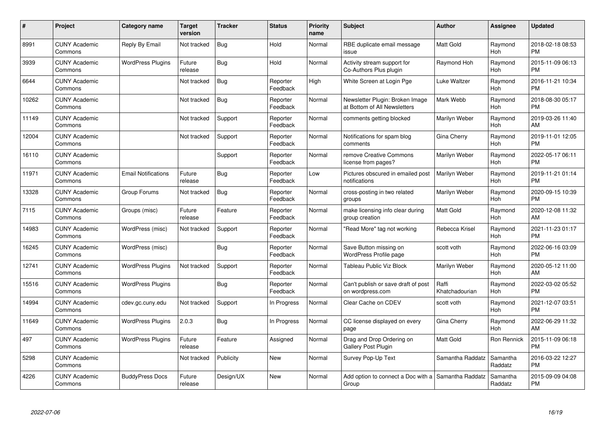| #     | <b>Project</b>                  | Category name              | <b>Target</b><br>version | <b>Tracker</b> | <b>Status</b>        | <b>Priority</b><br>name | <b>Subject</b>                                                  | <b>Author</b>           | Assignee            | <b>Updated</b>                |
|-------|---------------------------------|----------------------------|--------------------------|----------------|----------------------|-------------------------|-----------------------------------------------------------------|-------------------------|---------------------|-------------------------------|
| 8991  | <b>CUNY Academic</b><br>Commons | Reply By Email             | Not tracked              | Bug            | Hold                 | Normal                  | RBE duplicate email message<br>issue                            | <b>Matt Gold</b>        | Raymond<br>Hoh      | 2018-02-18 08:53<br><b>PM</b> |
| 3939  | <b>CUNY Academic</b><br>Commons | <b>WordPress Plugins</b>   | Future<br>release        | Bug            | Hold                 | Normal                  | Activity stream support for<br>Co-Authors Plus plugin           | Raymond Hoh             | Raymond<br>Hoh      | 2015-11-09 06:13<br><b>PM</b> |
| 6644  | <b>CUNY Academic</b><br>Commons |                            | Not tracked              | <b>Bug</b>     | Reporter<br>Feedback | High                    | White Screen at Login Pge                                       | Luke Waltzer            | Raymond<br>Hoh      | 2016-11-21 10:34<br><b>PM</b> |
| 10262 | <b>CUNY Academic</b><br>Commons |                            | Not tracked              | Bug            | Reporter<br>Feedback | Normal                  | Newsletter Plugin: Broken Image<br>at Bottom of All Newsletters | Mark Webb               | Raymond<br>Hoh      | 2018-08-30 05:17<br><b>PM</b> |
| 11149 | <b>CUNY Academic</b><br>Commons |                            | Not tracked              | Support        | Reporter<br>Feedback | Normal                  | comments getting blocked                                        | Marilyn Weber           | Raymond<br>Hoh      | 2019-03-26 11:40<br>AM        |
| 12004 | <b>CUNY Academic</b><br>Commons |                            | Not tracked              | Support        | Reporter<br>Feedback | Normal                  | Notifications for spam blog<br>comments                         | Gina Cherry             | Raymond<br>Hoh      | 2019-11-01 12:05<br><b>PM</b> |
| 16110 | <b>CUNY Academic</b><br>Commons |                            |                          | Support        | Reporter<br>Feedback | Normal                  | remove Creative Commons<br>license from pages?                  | Marilyn Weber           | Raymond<br>Hoh      | 2022-05-17 06:11<br><b>PM</b> |
| 11971 | <b>CUNY Academic</b><br>Commons | <b>Email Notifications</b> | Future<br>release        | <b>Bug</b>     | Reporter<br>Feedback | Low                     | Pictures obscured in emailed post<br>notifications              | Marilyn Weber           | Raymond<br>Hoh      | 2019-11-21 01:14<br><b>PM</b> |
| 13328 | <b>CUNY Academic</b><br>Commons | Group Forums               | Not tracked              | <b>Bug</b>     | Reporter<br>Feedback | Normal                  | cross-posting in two related<br>groups                          | Marilyn Weber           | Raymond<br>Hoh      | 2020-09-15 10:39<br><b>PM</b> |
| 7115  | <b>CUNY Academic</b><br>Commons | Groups (misc)              | Future<br>release        | Feature        | Reporter<br>Feedback | Normal                  | make licensing info clear during<br>group creation              | <b>Matt Gold</b>        | Raymond<br>Hoh      | 2020-12-08 11:32<br>AM        |
| 14983 | <b>CUNY Academic</b><br>Commons | WordPress (misc)           | Not tracked              | Support        | Reporter<br>Feedback | Normal                  | "Read More" tag not working                                     | Rebecca Krisel          | Raymond<br>Hoh      | 2021-11-23 01:17<br><b>PM</b> |
| 16245 | <b>CUNY Academic</b><br>Commons | WordPress (misc)           |                          | Bug            | Reporter<br>Feedback | Normal                  | Save Button missing on<br><b>WordPress Profile page</b>         | scott voth              | Raymond<br>Hoh      | 2022-06-16 03:09<br><b>PM</b> |
| 12741 | <b>CUNY Academic</b><br>Commons | <b>WordPress Plugins</b>   | Not tracked              | Support        | Reporter<br>Feedback | Normal                  | <b>Tableau Public Viz Block</b>                                 | Marilyn Weber           | Raymond<br>Hoh      | 2020-05-12 11:00<br>AM        |
| 15516 | <b>CUNY Academic</b><br>Commons | <b>WordPress Plugins</b>   |                          | <b>Bug</b>     | Reporter<br>Feedback | Normal                  | Can't publish or save draft of post<br>on wordpress.com         | Raffi<br>Khatchadourian | Raymond<br>Hoh      | 2022-03-02 05:52<br><b>PM</b> |
| 14994 | <b>CUNY Academic</b><br>Commons | cdev.gc.cuny.edu           | Not tracked              | Support        | In Progress          | Normal                  | Clear Cache on CDEV                                             | scott voth              | Raymond<br>Hoh      | 2021-12-07 03:51<br><b>PM</b> |
| 11649 | <b>CUNY Academic</b><br>Commons | <b>WordPress Plugins</b>   | 2.0.3                    | Bug            | In Progress          | Normal                  | CC license displayed on every<br>page                           | Gina Cherry             | Raymond<br>Hoh      | 2022-06-29 11:32<br>AM        |
| 497   | <b>CUNY Academic</b><br>Commons | <b>WordPress Plugins</b>   | Future<br>release        | Feature        | Assigned             | Normal                  | Drag and Drop Ordering on<br>Gallery Post Plugin                | <b>Matt Gold</b>        | <b>Ron Rennick</b>  | 2015-11-09 06:18<br><b>PM</b> |
| 5298  | <b>CUNY Academic</b><br>Commons |                            | Not tracked              | Publicity      | New                  | Normal                  | Survey Pop-Up Text                                              | Samantha Raddatz        | Samantha<br>Raddatz | 2016-03-22 12:27<br><b>PM</b> |
| 4226  | <b>CUNY Academic</b><br>Commons | <b>BuddyPress Docs</b>     | Future<br>release        | Design/UX      | New                  | Normal                  | Add option to connect a Doc with a<br>Group                     | Samantha Raddatz        | Samantha<br>Raddatz | 2015-09-09 04:08<br><b>PM</b> |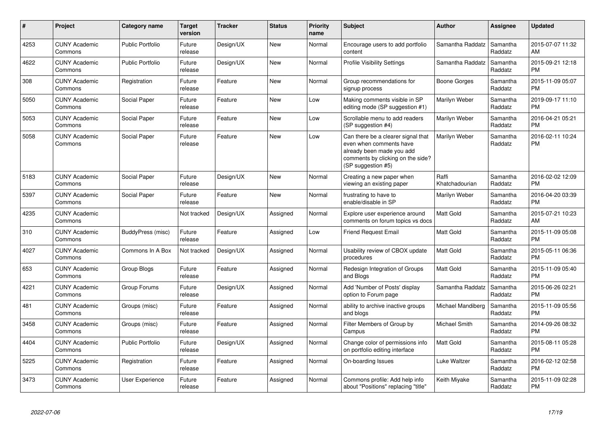| #    | Project                         | Category name           | <b>Target</b><br>version | <b>Tracker</b> | <b>Status</b> | <b>Priority</b><br>name | <b>Subject</b>                                                                                                                                        | Author                  | <b>Assignee</b>     | <b>Updated</b>                |
|------|---------------------------------|-------------------------|--------------------------|----------------|---------------|-------------------------|-------------------------------------------------------------------------------------------------------------------------------------------------------|-------------------------|---------------------|-------------------------------|
| 4253 | <b>CUNY Academic</b><br>Commons | <b>Public Portfolio</b> | Future<br>release        | Design/UX      | <b>New</b>    | Normal                  | Encourage users to add portfolio<br>content                                                                                                           | Samantha Raddatz        | Samantha<br>Raddatz | 2015-07-07 11:32<br>AM        |
| 4622 | <b>CUNY Academic</b><br>Commons | <b>Public Portfolio</b> | Future<br>release        | Design/UX      | <b>New</b>    | Normal                  | <b>Profile Visibility Settings</b>                                                                                                                    | Samantha Raddatz        | Samantha<br>Raddatz | 2015-09-21 12:18<br><b>PM</b> |
| 308  | <b>CUNY Academic</b><br>Commons | Registration            | Future<br>release        | Feature        | New           | Normal                  | Group recommendations for<br>signup process                                                                                                           | Boone Gorges            | Samantha<br>Raddatz | 2015-11-09 05:07<br><b>PM</b> |
| 5050 | <b>CUNY Academic</b><br>Commons | Social Paper            | Future<br>release        | Feature        | New           | Low                     | Making comments visible in SP<br>editing mode (SP suggestion #1)                                                                                      | Marilyn Weber           | Samantha<br>Raddatz | 2019-09-17 11:10<br><b>PM</b> |
| 5053 | <b>CUNY Academic</b><br>Commons | Social Paper            | Future<br>release        | Feature        | New           | Low                     | Scrollable menu to add readers<br>(SP suggestion #4)                                                                                                  | Marilyn Weber           | Samantha<br>Raddatz | 2016-04-21 05:21<br><b>PM</b> |
| 5058 | <b>CUNY Academic</b><br>Commons | Social Paper            | Future<br>release        | Feature        | New           | Low                     | Can there be a clearer signal that<br>even when comments have<br>already been made you add<br>comments by clicking on the side?<br>(SP suggestion #5) | Marilyn Weber           | Samantha<br>Raddatz | 2016-02-11 10:24<br><b>PM</b> |
| 5183 | <b>CUNY Academic</b><br>Commons | <b>Social Paper</b>     | Future<br>release        | Design/UX      | <b>New</b>    | Normal                  | Creating a new paper when<br>viewing an existing paper                                                                                                | Raffi<br>Khatchadourian | Samantha<br>Raddatz | 2016-02-02 12:09<br><b>PM</b> |
| 5397 | <b>CUNY Academic</b><br>Commons | Social Paper            | Future<br>release        | Feature        | <b>New</b>    | Normal                  | frustrating to have to<br>enable/disable in SP                                                                                                        | Marilyn Weber           | Samantha<br>Raddatz | 2016-04-20 03:39<br><b>PM</b> |
| 4235 | <b>CUNY Academic</b><br>Commons |                         | Not tracked              | Design/UX      | Assigned      | Normal                  | Explore user experience around<br>comments on forum topics vs docs                                                                                    | <b>Matt Gold</b>        | Samantha<br>Raddatz | 2015-07-21 10:23<br>AM        |
| 310  | <b>CUNY Academic</b><br>Commons | BuddyPress (misc)       | Future<br>release        | Feature        | Assigned      | Low                     | <b>Friend Request Email</b>                                                                                                                           | <b>Matt Gold</b>        | Samantha<br>Raddatz | 2015-11-09 05:08<br><b>PM</b> |
| 4027 | <b>CUNY Academic</b><br>Commons | Commons In A Box        | Not tracked              | Design/UX      | Assigned      | Normal                  | Usability review of CBOX update<br>procedures                                                                                                         | <b>Matt Gold</b>        | Samantha<br>Raddatz | 2015-05-11 06:36<br><b>PM</b> |
| 653  | <b>CUNY Academic</b><br>Commons | Group Blogs             | Future<br>release        | Feature        | Assigned      | Normal                  | Redesign Integration of Groups<br>and Blogs                                                                                                           | <b>Matt Gold</b>        | Samantha<br>Raddatz | 2015-11-09 05:40<br><b>PM</b> |
| 4221 | <b>CUNY Academic</b><br>Commons | Group Forums            | Future<br>release        | Design/UX      | Assigned      | Normal                  | Add 'Number of Posts' display<br>option to Forum page                                                                                                 | Samantha Raddatz        | Samantha<br>Raddatz | 2015-06-26 02:21<br><b>PM</b> |
| 481  | <b>CUNY Academic</b><br>Commons | Groups (misc)           | Future<br>release        | Feature        | Assigned      | Normal                  | ability to archive inactive groups<br>and blogs                                                                                                       | Michael Mandiberg       | Samantha<br>Raddatz | 2015-11-09 05:56<br><b>PM</b> |
| 3458 | <b>CUNY Academic</b><br>Commons | Groups (misc)           | Future<br>release        | Feature        | Assigned      | Normal                  | Filter Members of Group by<br>Campus                                                                                                                  | Michael Smith           | Samantha<br>Raddatz | 2014-09-26 08:32<br><b>PM</b> |
| 4404 | <b>CUNY Academic</b><br>Commons | <b>Public Portfolio</b> | Future<br>release        | Design/UX      | Assigned      | Normal                  | Change color of permissions info<br>on portfolio editing interface                                                                                    | <b>Matt Gold</b>        | Samantha<br>Raddatz | 2015-08-11 05:28<br><b>PM</b> |
| 5225 | <b>CUNY Academic</b><br>Commons | Registration            | Future<br>release        | Feature        | Assigned      | Normal                  | On-boarding Issues                                                                                                                                    | Luke Waltzer            | Samantha<br>Raddatz | 2016-02-12 02:58<br><b>PM</b> |
| 3473 | <b>CUNY Academic</b><br>Commons | <b>User Experience</b>  | Future<br>release        | Feature        | Assigned      | Normal                  | Commons profile: Add help info<br>about "Positions" replacing "title"                                                                                 | Keith Miyake            | Samantha<br>Raddatz | 2015-11-09 02:28<br><b>PM</b> |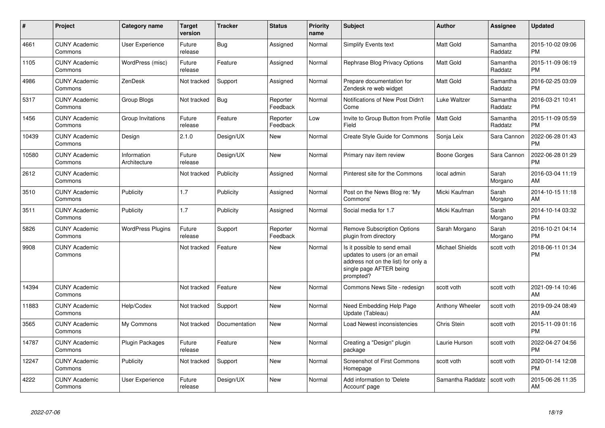| $\pmb{\#}$ | Project                         | <b>Category name</b>        | <b>Target</b><br>version | <b>Tracker</b> | <b>Status</b>        | <b>Priority</b><br>name | <b>Subject</b>                                                                                                                               | <b>Author</b>          | <b>Assignee</b>     | <b>Updated</b>                |
|------------|---------------------------------|-----------------------------|--------------------------|----------------|----------------------|-------------------------|----------------------------------------------------------------------------------------------------------------------------------------------|------------------------|---------------------|-------------------------------|
| 4661       | <b>CUNY Academic</b><br>Commons | User Experience             | Future<br>release        | Bug            | Assigned             | Normal                  | Simplify Events text                                                                                                                         | <b>Matt Gold</b>       | Samantha<br>Raddatz | 2015-10-02 09:06<br><b>PM</b> |
| 1105       | <b>CUNY Academic</b><br>Commons | WordPress (misc)            | Future<br>release        | Feature        | Assigned             | Normal                  | <b>Rephrase Blog Privacy Options</b>                                                                                                         | <b>Matt Gold</b>       | Samantha<br>Raddatz | 2015-11-09 06:19<br><b>PM</b> |
| 4986       | <b>CUNY Academic</b><br>Commons | ZenDesk                     | Not tracked              | Support        | Assigned             | Normal                  | Prepare documentation for<br>Zendesk re web widget                                                                                           | <b>Matt Gold</b>       | Samantha<br>Raddatz | 2016-02-25 03:09<br><b>PM</b> |
| 5317       | <b>CUNY Academic</b><br>Commons | Group Blogs                 | Not tracked              | <b>Bug</b>     | Reporter<br>Feedback | Normal                  | Notifications of New Post Didn't<br>Come                                                                                                     | Luke Waltzer           | Samantha<br>Raddatz | 2016-03-21 10:41<br><b>PM</b> |
| 1456       | <b>CUNY Academic</b><br>Commons | Group Invitations           | Future<br>release        | Feature        | Reporter<br>Feedback | Low                     | Invite to Group Button from Profile<br>Field                                                                                                 | Matt Gold              | Samantha<br>Raddatz | 2015-11-09 05:59<br><b>PM</b> |
| 10439      | <b>CUNY Academic</b><br>Commons | Design                      | 2.1.0                    | Design/UX      | New                  | Normal                  | <b>Create Style Guide for Commons</b>                                                                                                        | Sonja Leix             | Sara Cannon         | 2022-06-28 01:43<br><b>PM</b> |
| 10580      | <b>CUNY Academic</b><br>Commons | Information<br>Architecture | Future<br>release        | Design/UX      | <b>New</b>           | Normal                  | Primary nav item review                                                                                                                      | Boone Gorges           | Sara Cannon         | 2022-06-28 01:29<br><b>PM</b> |
| 2612       | <b>CUNY Academic</b><br>Commons |                             | Not tracked              | Publicity      | Assigned             | Normal                  | Pinterest site for the Commons                                                                                                               | local admin            | Sarah<br>Morgano    | 2016-03-04 11:19<br>AM        |
| 3510       | <b>CUNY Academic</b><br>Commons | Publicity                   | 1.7                      | Publicity      | Assigned             | Normal                  | Post on the News Blog re: 'My<br>Commons'                                                                                                    | Micki Kaufman          | Sarah<br>Morgano    | 2014-10-15 11:18<br>AM        |
| 3511       | <b>CUNY Academic</b><br>Commons | Publicity                   | 1.7                      | Publicity      | Assigned             | Normal                  | Social media for 1.7                                                                                                                         | Micki Kaufman          | Sarah<br>Morgano    | 2014-10-14 03:32<br><b>PM</b> |
| 5826       | <b>CUNY Academic</b><br>Commons | <b>WordPress Plugins</b>    | Future<br>release        | Support        | Reporter<br>Feedback | Normal                  | <b>Remove Subscription Options</b><br>plugin from directory                                                                                  | Sarah Morgano          | Sarah<br>Morgano    | 2016-10-21 04:14<br><b>PM</b> |
| 9908       | <b>CUNY Academic</b><br>Commons |                             | Not tracked              | Feature        | New                  | Normal                  | Is it possible to send email<br>updates to users (or an email<br>address not on the list) for only a<br>single page AFTER being<br>prompted? | <b>Michael Shields</b> | scott voth          | 2018-06-11 01:34<br><b>PM</b> |
| 14394      | <b>CUNY Academic</b><br>Commons |                             | Not tracked              | Feature        | New                  | Normal                  | Commons News Site - redesign                                                                                                                 | scott voth             | scott voth          | 2021-09-14 10:46<br>AM        |
| 11883      | <b>CUNY Academic</b><br>Commons | Help/Codex                  | Not tracked              | Support        | New                  | Normal                  | Need Embedding Help Page<br>Update (Tableau)                                                                                                 | Anthony Wheeler        | scott voth          | 2019-09-24 08:49<br>AM        |
| 3565       | <b>CUNY Academic</b><br>Commons | My Commons                  | Not tracked              | Documentation  | <b>New</b>           | Normal                  | Load Newest inconsistencies                                                                                                                  | Chris Stein            | scott voth          | 2015-11-09 01:16<br><b>PM</b> |
| 14787      | <b>CUNY Academic</b><br>Commons | Plugin Packages             | Future<br>release        | Feature        | <b>New</b>           | Normal                  | Creating a "Design" plugin<br>package                                                                                                        | Laurie Hurson          | scott voth          | 2022-04-27 04:56<br><b>PM</b> |
| 12247      | <b>CUNY Academic</b><br>Commons | Publicity                   | Not tracked              | Support        | <b>New</b>           | Normal                  | <b>Screenshot of First Commons</b><br>Homepage                                                                                               | scott voth             | scott voth          | 2020-01-14 12:08<br><b>PM</b> |
| 4222       | <b>CUNY Academic</b><br>Commons | <b>User Experience</b>      | Future<br>release        | Design/UX      | <b>New</b>           | Normal                  | Add information to 'Delete<br>Account' page                                                                                                  | Samantha Raddatz       | scott voth          | 2015-06-26 11:35<br>AM        |